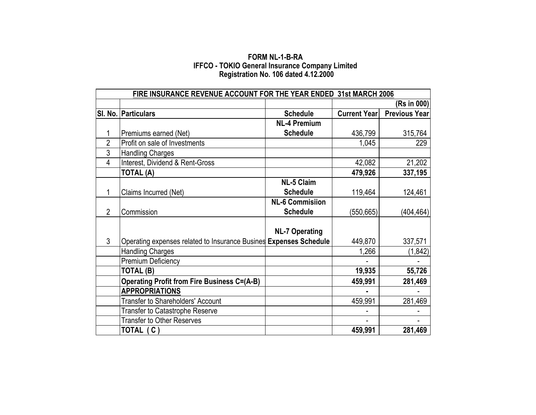## **FORM NL-1-B-RA IFFCO - TOKIO General Insurance Company Limited Registration No. 106 dated 4.12.2000**

|                | FIRE INSURANCE REVENUE ACCOUNT FOR THE YEAR ENDED 31st MARCH 2006 |                        |                     |                      |  |  |  |  |  |
|----------------|-------------------------------------------------------------------|------------------------|---------------------|----------------------|--|--|--|--|--|
|                |                                                                   |                        | (Rs in 000)         |                      |  |  |  |  |  |
|                | SI. No. Particulars                                               | <b>Schedule</b>        | <b>Current Year</b> | <b>Previous Year</b> |  |  |  |  |  |
|                |                                                                   | <b>NL-4 Premium</b>    |                     |                      |  |  |  |  |  |
| 1              | Premiums earned (Net)                                             | <b>Schedule</b>        | 436,799             | 315,764              |  |  |  |  |  |
| $\overline{2}$ | Profit on sale of Investments                                     |                        | 1,045               | 229                  |  |  |  |  |  |
| 3              | <b>Handling Charges</b>                                           |                        |                     |                      |  |  |  |  |  |
| 4              | Interest, Dividend & Rent-Gross                                   |                        | 42,082              | 21,202               |  |  |  |  |  |
|                | <b>TOTAL (A)</b>                                                  |                        | 479,926             | 337,195              |  |  |  |  |  |
|                |                                                                   | <b>NL-5 Claim</b>      |                     |                      |  |  |  |  |  |
| 1              | Claims Incurred (Net)                                             | <b>Schedule</b>        | 119,464             | 124,461              |  |  |  |  |  |
|                |                                                                   | <b>NL-6 Commisiion</b> |                     |                      |  |  |  |  |  |
| $\overline{2}$ | Commission                                                        | <b>Schedule</b>        | (550, 665)          | (404, 464)           |  |  |  |  |  |
|                |                                                                   |                        |                     |                      |  |  |  |  |  |
|                |                                                                   | <b>NL-7 Operating</b>  |                     |                      |  |  |  |  |  |
| 3              | Operating expenses related to Insurance Busines Expenses Schedule |                        | 449,870             | 337,571              |  |  |  |  |  |
|                | <b>Handling Charges</b>                                           |                        | 1,266               | (1, 842)             |  |  |  |  |  |
|                | Premium Deficiency                                                |                        |                     |                      |  |  |  |  |  |
|                | TOTAL (B)                                                         |                        | 19,935              | 55,726               |  |  |  |  |  |
|                | <b>Operating Profit from Fire Business C=(A-B)</b>                |                        | 459,991             | 281,469              |  |  |  |  |  |
|                | <b>APPROPRIATIONS</b>                                             |                        |                     |                      |  |  |  |  |  |
|                | <b>Transfer to Shareholders' Account</b>                          |                        | 459,991             | 281,469              |  |  |  |  |  |
|                | Transfer to Catastrophe Reserve                                   |                        |                     |                      |  |  |  |  |  |
|                | <b>Transfer to Other Reserves</b>                                 |                        |                     |                      |  |  |  |  |  |
|                | TOTAL (C)                                                         |                        | 459,991             | 281,469              |  |  |  |  |  |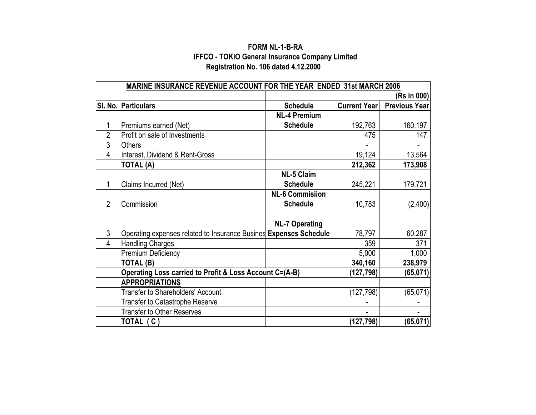## **FORM NL-1-B-RA Registration No. 106 dated 4.12.2000 IFFCO - TOKIO General Insurance Company Limited**

|                | MARINE INSURANCE REVENUE ACCOUNT FOR THE YEAR ENDED 31st MARCH 2006 |                        |                     |                      |  |  |  |  |
|----------------|---------------------------------------------------------------------|------------------------|---------------------|----------------------|--|--|--|--|
|                |                                                                     |                        | (Rs in 000)         |                      |  |  |  |  |
|                | SI. No. Particulars                                                 | <b>Schedule</b>        | <b>Current Year</b> | <b>Previous Year</b> |  |  |  |  |
|                |                                                                     | <b>NL-4 Premium</b>    |                     |                      |  |  |  |  |
| 1              | Premiums earned (Net)                                               | <b>Schedule</b>        | 192,763             | 160,197              |  |  |  |  |
| $\overline{2}$ | Profit on sale of Investments                                       |                        | 475                 | 147                  |  |  |  |  |
| 3              | <b>Others</b>                                                       |                        |                     |                      |  |  |  |  |
| 4              | Interest, Dividend & Rent-Gross                                     |                        | 19,124              | 13,564               |  |  |  |  |
|                | <b>TOTAL (A)</b>                                                    |                        | 212,362             | 173,908              |  |  |  |  |
|                |                                                                     | <b>NL-5 Claim</b>      |                     |                      |  |  |  |  |
| 1              | Claims Incurred (Net)                                               | <b>Schedule</b>        | 245,221             | 179,721              |  |  |  |  |
|                |                                                                     | <b>NL-6 Commisiion</b> |                     |                      |  |  |  |  |
| $\overline{2}$ | Commission                                                          | <b>Schedule</b>        | 10,783              | (2,400)              |  |  |  |  |
|                |                                                                     |                        |                     |                      |  |  |  |  |
|                |                                                                     | <b>NL-7 Operating</b>  |                     |                      |  |  |  |  |
| 3              | Operating expenses related to Insurance Busines Expenses Schedule   |                        | 78,797              | 60,287               |  |  |  |  |
| 4              | <b>Handling Charges</b>                                             |                        | 359                 | 371                  |  |  |  |  |
|                | Premium Deficiency                                                  |                        | 5,000               | 1,000                |  |  |  |  |
|                | TOTAL (B)                                                           |                        | 340,160             | 238,979              |  |  |  |  |
|                | Operating Loss carried to Profit & Loss Account C=(A-B)             |                        | (127, 798)          | (65, 071)            |  |  |  |  |
|                | <b>APPROPRIATIONS</b>                                               |                        |                     |                      |  |  |  |  |
|                | <b>Transfer to Shareholders' Account</b>                            |                        | (127, 798)          | (65, 071)            |  |  |  |  |
|                | <b>Transfer to Catastrophe Reserve</b>                              |                        |                     |                      |  |  |  |  |
|                | <b>Transfer to Other Reserves</b>                                   |                        |                     |                      |  |  |  |  |
|                | TOTAL (C)                                                           |                        | (127,798)           | (65, 071)            |  |  |  |  |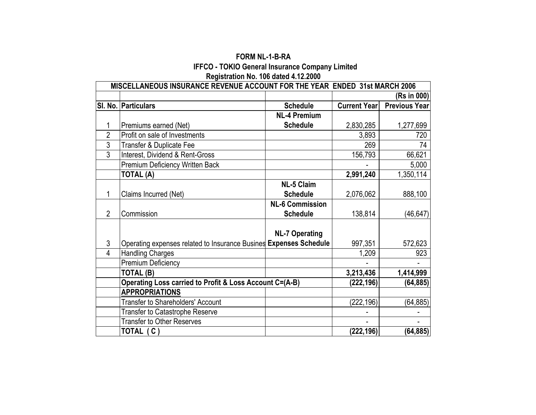|                | MISCELLANEOUS INSURANCE REVENUE ACCOUNT FOR THE YEAR ENDED 31st MARCH 2006 |                        |                     |                      |
|----------------|----------------------------------------------------------------------------|------------------------|---------------------|----------------------|
|                |                                                                            |                        |                     | (Rs in 000)          |
|                | SI. No. Particulars                                                        | <b>Schedule</b>        | <b>Current Year</b> | <b>Previous Year</b> |
|                |                                                                            | <b>NL-4 Premium</b>    |                     |                      |
| 1              | Premiums earned (Net)                                                      | <b>Schedule</b>        | 2,830,285           | 1,277,699            |
| $\overline{2}$ | Profit on sale of Investments                                              |                        | 3,893               | 720                  |
| 3              | Transfer & Duplicate Fee                                                   |                        | 269                 | 74                   |
| $\overline{3}$ | Interest, Dividend & Rent-Gross                                            |                        | 156,793             | 66,621               |
|                | Premium Deficiency Written Back                                            |                        |                     | 5,000                |
|                | <b>TOTAL (A)</b>                                                           |                        | 2,991,240           | 1,350,114            |
|                |                                                                            | <b>NL-5 Claim</b>      |                     |                      |
| 1              | Claims Incurred (Net)                                                      | <b>Schedule</b>        | 2,076,062           | 888,100              |
|                |                                                                            | <b>NL-6 Commission</b> |                     |                      |
| $\overline{2}$ | Commission                                                                 | <b>Schedule</b>        | 138,814             | (46, 647)            |
|                |                                                                            |                        |                     |                      |
|                |                                                                            | <b>NL-7 Operating</b>  |                     |                      |
| $\mathfrak{Z}$ | Operating expenses related to Insurance Busines Expenses Schedule          |                        | 997,351             | 572,623              |
| 4              | <b>Handling Charges</b>                                                    |                        | 1,209               | 923                  |
|                | Premium Deficiency                                                         |                        |                     |                      |
|                | TOTAL (B)                                                                  |                        | 3,213,436           | 1,414,999            |
|                | Operating Loss carried to Profit & Loss Account C=(A-B)                    |                        | (222,196)           | (64, 885)            |
|                | <b>APPROPRIATIONS</b>                                                      |                        |                     |                      |
|                | <b>Transfer to Shareholders' Account</b>                                   |                        | (222, 196)          | (64, 885)            |
|                | <b>Transfer to Catastrophe Reserve</b>                                     |                        |                     |                      |
|                | <b>Transfer to Other Reserves</b>                                          |                        |                     |                      |
|                | TOTAL (C)                                                                  |                        | (222, 196)          | (64, 885)            |

**FORM NL-1-B-RA IFFCO - TOKIO General Insurance Company Limited Registration No. 106 dated 4.12.2000**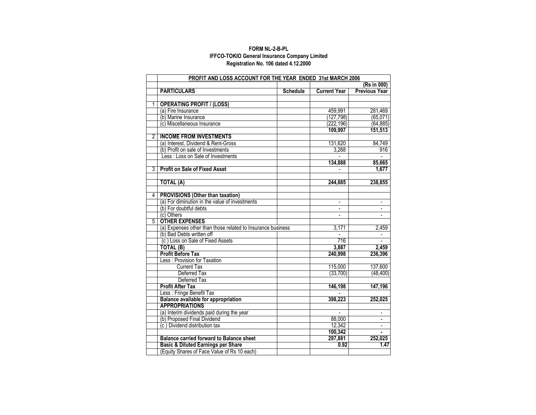#### **IFFCO-TOKIO General Insurance Company Limited FORM NL-2-B-PL Registration No. 106 dated 4.12.2000**

|                | PROFIT AND LOSS ACCOUNT FOR THE YEAR ENDED 31st MARCH 2006  |                 |                     |                      |
|----------------|-------------------------------------------------------------|-----------------|---------------------|----------------------|
|                |                                                             |                 |                     | (Rs in 000)          |
|                | <b>PARTICULARS</b>                                          | <b>Schedule</b> | <b>Current Year</b> | <b>Previous Year</b> |
|                |                                                             |                 |                     |                      |
| 1              | <b>OPERATING PROFIT / (LOSS)</b>                            |                 |                     |                      |
|                | (a) Fire Insurance                                          |                 | 459,991             | 281,469              |
|                | (b) Marine Insurance                                        |                 | (127,798)           | (65,071)             |
|                | (c) Miscellaneous Insurance                                 |                 | (222,196)           | (64, 885)            |
|                |                                                             |                 | 109,997             | 151,513              |
| $\overline{2}$ | <b>INCOME FROM INVESTMENTS</b>                              |                 |                     |                      |
|                | (a) Interest. Dividend & Rent-Gross                         |                 | 131,620             | 84,749               |
|                | (b) Profit on sale of Investments                           |                 | 3,268               | 916                  |
|                | Less: Loss on Sale of Investments                           |                 |                     |                      |
|                |                                                             |                 | 134.888             | 85,665               |
| 3              | <b>Profit on Sale of Fixed Asset</b>                        |                 |                     | 1,677                |
|                |                                                             |                 |                     |                      |
|                | <b>TOTAL (A)</b>                                            |                 | 244,885             | 238,855              |
|                |                                                             |                 |                     |                      |
| 4              | <b>PROVISIONS (Other than taxation)</b>                     |                 |                     |                      |
|                | (a) For diminution in the value of investments              |                 |                     |                      |
|                | (b) For doubtful debts                                      |                 | ÷.                  | L.                   |
|                | (c) Others                                                  |                 |                     |                      |
| 5              | <b>OTHER EXPENSES</b>                                       |                 |                     |                      |
|                | (a) Expenses other than those related to Insurance business |                 | 3,171               | 2,459                |
|                | (b) Bad Debts written off                                   |                 |                     |                      |
|                | (c) Loss on Sale of Fixed Assets                            |                 | 716                 |                      |
|                | TOTAL (B)                                                   |                 | 3,887               | 2,459                |
|                | <b>Profit Before Tax</b>                                    |                 | 240,998             | 236,396              |
|                | Less: Provision for Taxation                                |                 |                     |                      |
|                | <b>Current Tax</b>                                          |                 | 115,000             | 137,600              |
|                | Deferred Tax                                                |                 | (33,700)            | (48, 400)            |
|                | Deferred Tax                                                |                 |                     |                      |
|                | <b>Profit After Tax</b>                                     |                 | 146,198             | 147,196              |
|                | Less : Fringe Benefit Tax                                   |                 |                     |                      |
|                | Balance available for appropriation                         |                 | 398,223             | 252,025              |
|                | <b>APPROPRIATIONS</b>                                       |                 |                     |                      |
|                | (a) Interim dividends paid during the year                  |                 |                     | $\blacksquare$       |
|                | (b) Proposed Final Dividend                                 |                 | 88,000              |                      |
|                | (c) Dividend distribution tax                               |                 | 12,342              | $\blacksquare$       |
|                |                                                             |                 | 100,342             |                      |
|                | <b>Balance carried forward to Balance sheet</b>             |                 | 297,881             | 252,025              |
|                | <b>Basic &amp; Diluted Earnings per Share</b>               |                 | 0.92                | 1.47                 |
|                | (Equity Shares of Face Value of Rs 10 each)                 |                 |                     |                      |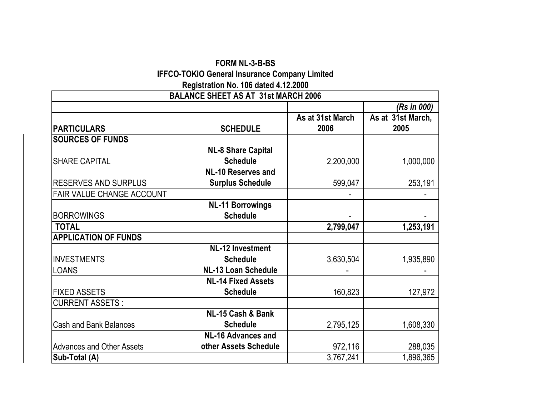## **FORM NL-3-B-BS IFFCO-TOKIO General Insurance Company Limited Registration No. 106 dated 4.12.2000**

|                                  | <b>BALANCE SHEET AS AT 31st MARCH 2006</b> |                  |                   |
|----------------------------------|--------------------------------------------|------------------|-------------------|
|                                  |                                            |                  | (Rs in 000)       |
|                                  |                                            | As at 31st March | As at 31st March, |
| <b>PARTICULARS</b>               | <b>SCHEDULE</b>                            | 2006             | 2005              |
| <b>SOURCES OF FUNDS</b>          |                                            |                  |                   |
|                                  | <b>NL-8 Share Capital</b>                  |                  |                   |
| <b>SHARE CAPITAL</b>             | <b>Schedule</b>                            | 2,200,000        | 1,000,000         |
|                                  | <b>NL-10 Reserves and</b>                  |                  |                   |
| <b>RESERVES AND SURPLUS</b>      | <b>Surplus Schedule</b>                    | 599,047          | 253,191           |
| <b>FAIR VALUE CHANGE ACCOUNT</b> |                                            |                  |                   |
|                                  | <b>NL-11 Borrowings</b>                    |                  |                   |
| <b>BORROWINGS</b>                | <b>Schedule</b>                            |                  |                   |
| <b>TOTAL</b>                     |                                            | 2,799,047        | 1,253,191         |
| <b>APPLICATION OF FUNDS</b>      |                                            |                  |                   |
|                                  | <b>NL-12 Investment</b>                    |                  |                   |
| <b>INVESTMENTS</b>               | <b>Schedule</b>                            | 3,630,504        | 1,935,890         |
| <b>LOANS</b>                     | <b>NL-13 Loan Schedule</b>                 |                  |                   |
|                                  | <b>NL-14 Fixed Assets</b>                  |                  |                   |
| <b>FIXED ASSETS</b>              | <b>Schedule</b>                            | 160,823          | 127,972           |
| <b>CURRENT ASSETS:</b>           |                                            |                  |                   |
|                                  | NL-15 Cash & Bank                          |                  |                   |
| <b>Cash and Bank Balances</b>    | <b>Schedule</b>                            | 2,795,125        | 1,608,330         |
|                                  | <b>NL-16 Advances and</b>                  |                  |                   |
| <b>Advances and Other Assets</b> | other Assets Schedule                      | 972,116          | 288,035           |
| Sub-Total (A)                    |                                            | 3,767,241        | 1,896,365         |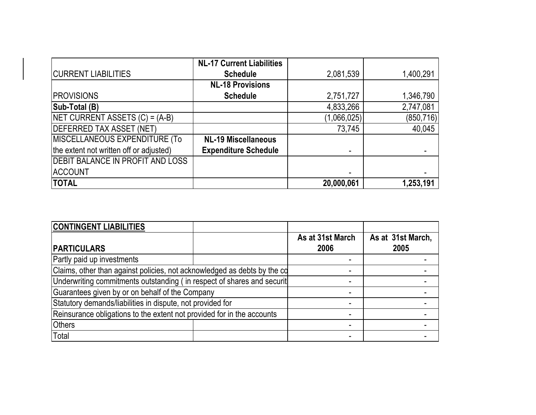|                                         | <b>NL-17 Current Liabilities</b> |             |            |
|-----------------------------------------|----------------------------------|-------------|------------|
| <b>CURRENT LIABILITIES</b>              | <b>Schedule</b>                  | 2,081,539   | 1,400,291  |
|                                         | <b>NL-18 Provisions</b>          |             |            |
| <b>PROVISIONS</b>                       | <b>Schedule</b>                  | 2,751,727   | 1,346,790  |
| Sub-Total (B)                           |                                  | 4,833,266   | 2,747,081  |
| NET CURRENT ASSETS (C) = (A-B)          |                                  | (1,066,025) | (850, 716) |
| <b>DEFERRED TAX ASSET (NET)</b>         |                                  | 73,745      | 40,045     |
| MISCELLANEOUS EXPENDITURE (To           | <b>NL-19 Miscellaneous</b>       |             |            |
| the extent not written off or adjusted) | <b>Expenditure Schedule</b>      |             |            |
| <b>DEBIT BALANCE IN PROFIT AND LOSS</b> |                                  |             |            |
| <b>ACCOUNT</b>                          |                                  |             |            |
| <b>TOTAL</b>                            |                                  | 20,000,061  | 1,253,191  |

| <b>CONTINGENT LIABILITIES</b>                                            |                          |                           |
|--------------------------------------------------------------------------|--------------------------|---------------------------|
| <b>PARTICULARS</b>                                                       | As at 31st March<br>2006 | As at 31st March,<br>2005 |
| Partly paid up investments                                               |                          |                           |
| Claims, other than against policies, not acknowledged as debts by the co |                          |                           |
| Underwriting commitments outstanding (in respect of shares and securit   |                          |                           |
| Guarantees given by or on behalf of the Company                          |                          |                           |
| Statutory demands/liabilities in dispute, not provided for               |                          |                           |
| Reinsurance obligations to the extent not provided for in the accounts   |                          |                           |
| <b>Others</b>                                                            |                          |                           |
| Total                                                                    |                          |                           |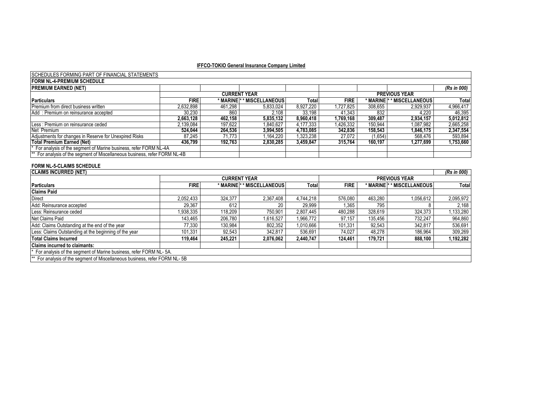#### SCHEDULES FORMING PART OF FINANCIAL STATEMENTS

| <b>FORM NL-4-PREMIUM SCHEDULE</b>                                          |             |         |                            |           |             |         |                             |             |
|----------------------------------------------------------------------------|-------------|---------|----------------------------|-----------|-------------|---------|-----------------------------|-------------|
| <b>PREMIUM EARNED (NET)</b>                                                |             |         |                            |           |             |         |                             | (Rs in 000) |
|                                                                            |             |         | <b>CURRENT YEAR</b>        |           |             |         | <b>PREVIOUS YEAR</b>        |             |
| <b>Particulars</b>                                                         | <b>FIRE</b> |         | * MARINE * * MISCELLANEOUS | Total     | <b>FIRE</b> |         | * MARINE  * * MISCELLANEOUS | Total       |
| Premium from direct business written                                       | 2,632,898   | 461,298 | 5,833,024                  | 8.927.220 | 1.727.825   | 308.655 | 2,929,937                   | 4,966,417   |
| Add: Premium on reinsurance accepted                                       | 30.230      | 860     | 2.108                      | 33.198    | 41,343      | 832     | 4.220                       | 46,395      |
|                                                                            | 2,663,128   | 462,158 | 5,835,132                  | 8,960,418 | 1.769.168   | 309.487 | 2,934,157                   | 5,012,812   |
| Less: Premium on reinsurance ceded                                         | 2,139,084   | 197,622 | 1.840.627                  | 4,177,333 | .426.332    | 150.944 | 1,087,982                   | 2,665,258   |
| Net Premium                                                                | 524.044     | 264.536 | 3,994,505                  | 4,783,085 | 342.836     | 158.543 | 1.846.175                   | 2,347,554   |
| Adjustments for changes in Reserve for Unexpired Risks                     | 87.245      | 71.773  | .164.220                   | 1,323,238 | 27.072      | (1,654) | 568,476                     | 593,894     |
| <b>Total Premium Earned (Net)</b>                                          | 436.799     | 192.763 | 2.830.285                  | 3,459,847 | 315.764     | 160.197 | 1,277,699                   | 1,753,660   |
| * For analysis of the segment of Marine business, refer FORM NL-4A         |             |         |                            |           |             |         |                             |             |
| ** For analysis of the segment of Miscellaneous business, refer FORM NL-4B |             |         |                            |           |             |         |                             |             |

#### **FORM NL-5-CLAIMS SCHEDULE**

| <b>CLAIMS INCURRED (NET)</b>                                                          |             |                                             |                 |           |             |         |                                       | (Rs in 000) |
|---------------------------------------------------------------------------------------|-------------|---------------------------------------------|-----------------|-----------|-------------|---------|---------------------------------------|-------------|
|                                                                                       |             | <b>CURRENT YEAR</b><br><b>PREVIOUS YEAR</b> |                 |           |             |         |                                       |             |
| <b>Particulars</b>                                                                    | <b>FIRE</b> | * MARINE  *                                 | * MISCELLANEOUS | Total     | <b>FIRE</b> |         | * MARINE <sup>*</sup> * MISCELLANEOUS | Total       |
| <b>Claims Paid</b>                                                                    |             |                                             |                 |           |             |         |                                       |             |
| Direct                                                                                | 2,052,433   | 324.377                                     | 2,367,408       | 4,744,218 | 576.080     | 463,280 | 1,056,612                             | 2,095,972   |
| Add: Reinsurance accepted                                                             | 29,367      | 612                                         | 20              | 29,999    | .365        | 795     |                                       | 2,168       |
| Less: Reinsurance ceded                                                               | 1,938,335   | 118.209                                     | 750.901         | 2,807,445 | 480,288     | 328.619 | 324.373                               | 1,133,280   |
| Net Claims Paid                                                                       | 143.465     | 206.780                                     | 1.616.527       | .966,772  | 97.157      | 135,456 | 732.247                               | 964,860     |
| Add: Claims Outstanding at the end of the year                                        | 77,330      | 130.984                                     | 802.352         | 1,010,666 | 101,331     | 92,543  | 342.817                               | 536,691     |
| Less: Claims Outstanding at the beginning of the year                                 | 101,331     | 92.543                                      | 342.817         | 536.691   | 74.027      | 48.278  | 186.964                               | 309,269     |
| <b>Total Claims Incurred</b>                                                          | 119.464     | 245.221                                     | 2,076,062       | 2,440,747 | 124.461     | 179.721 | 888.100                               | 1,192,282   |
| <b>Claims incurred to claimants:</b>                                                  |             |                                             |                 |           |             |         |                                       |             |
| For analysis of the segment of Marine business, refer FORM NL-5A.                     |             |                                             |                 |           |             |         |                                       |             |
| <sup>**</sup> For analysis of the segment of Miscellaneous business, refer FORM NL-5B |             |                                             |                 |           |             |         |                                       |             |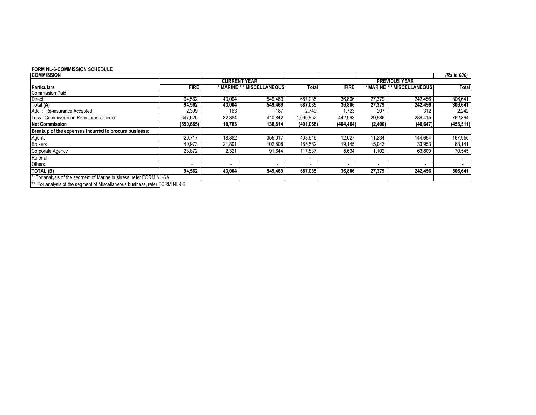#### **FORM NL-6-COMMISSION SCHEDULE**

| <b>COMMISSION</b>                                                   |             |                          |                      |                          |             |            |                      | (Rs in 000) |
|---------------------------------------------------------------------|-------------|--------------------------|----------------------|--------------------------|-------------|------------|----------------------|-------------|
|                                                                     |             |                          | <b>CURRENT YEAR</b>  |                          |             |            | <b>PREVIOUS YEAR</b> |             |
| <b>Particulars</b>                                                  | <b>FIRE</b> | * MARINE i               | <b>MISCELLANEOUS</b> | Totall                   | <b>FIRE</b> | * MARINE I | <b>MISCELLANEOUS</b> | Total       |
| <b>Commission Paid</b>                                              |             |                          |                      |                          |             |            |                      |             |
| Direct                                                              | 94,562      | 43,004                   | 549.469              | 687,035                  | 36,806      | 27,379     | 242.456              | 306,641     |
| Total (A)                                                           | 94,562      | 43,004                   | 549,469              | 687,035                  | 36,806      | 27,379     | 242.456              | 306,641     |
| Add: Re-insurance Accepted                                          | 2,399       | 163                      | 187                  | 2,749                    | .723        | 207        | 312                  | 2,242       |
| Less: Commission on Re-insurance ceded                              | 647,626     | 32,384                   | 410,842              | .090,852                 | 442,993     | 29,986     | 289,415              | 762,394     |
| <b>Net Commission</b>                                               | (550, 665)  | 10,783                   | 138,814              | (401,068)                | (404, 464)  | (2,400)    | (46, 647)            | (453, 511)  |
| Breakup of the expenses incurred to procure business:               |             |                          |                      |                          |             |            |                      |             |
| Agents                                                              | 29.717      | 18,882                   | 355,017              | 403.616                  | 12,027      | 11,234     | 144.694              | 167,955     |
| <b>Brokers</b>                                                      | 40,973      | 21,801                   | 102,808              | 165,582                  | 19.145      | 15,043     | 33,953               | 68,141      |
| Corporate Agency                                                    | 23,872      | 2,321                    | 91,644               | 117,837                  | 5,634       | ,102       | 63,809               | 70,545      |
| Referral                                                            |             |                          |                      |                          |             |            |                      |             |
| <b>Others</b>                                                       |             | $\overline{\phantom{a}}$ |                      | $\overline{\phantom{a}}$ |             |            |                      |             |
| TOTAL (B)                                                           | 94,562      | 43,004                   | 549,469              | 687,035                  | 36,806      | 27,379     | 242,456              | 306,641     |
| * For analysis of the segment of Marine business, refer FORM NL-6A. |             |                          |                      |                          |             |            |                      |             |
|                                                                     |             |                          |                      |                          |             |            |                      |             |

\*\* For analysis of the segment of Miscellaneous business, refer FORM NL-6B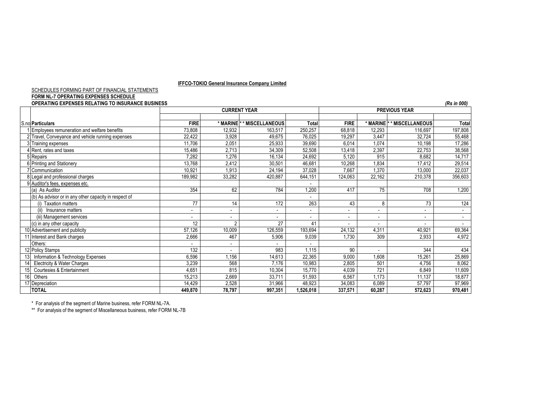#### SCHEDULES FORMING PART OF FINANCIAL STATEMENTS

#### **FORM NL-7 OPERATING EXPENSES SCHEDULE**

|     | <b>OPERATING EXPENSES RELATING TO INSURANCE BUSINESS</b> |                          |                              |                     |                          |                          |                          |                                       | (Rs in 000)              |
|-----|----------------------------------------------------------|--------------------------|------------------------------|---------------------|--------------------------|--------------------------|--------------------------|---------------------------------------|--------------------------|
|     |                                                          |                          |                              | <b>CURRENT YEAR</b> |                          |                          |                          | <b>PREVIOUS YEAR</b>                  |                          |
|     |                                                          |                          |                              |                     |                          |                          |                          |                                       |                          |
|     | S.no Particulars                                         | <b>FIRE</b>              | * MARINE                     | * MISCELLANEOUS     | Total                    | <b>FIRE</b>              |                          | * MARINE <sup>*</sup> * MISCELLANEOUS | <b>Total</b>             |
|     | Employees remuneration and welfare benefits              | 73,808                   | 12,932                       | 163,517             | 250,257                  | 68,818                   | 12,293                   | 116,697                               | 197,808                  |
|     | 2 Travel, Conveyance and vehicle running expenses        | 22,422                   | 3,928                        | 49,675              | 76,025                   | 19,297                   | 3,447                    | 32,724                                | 55,468                   |
|     | 3 Training expenses                                      | 11,706                   | 2,051                        | 25,933              | 39,690                   | 6,014                    | 1,074                    | 10,198                                | 17,286                   |
|     | Rent, rates and taxes                                    | 15,486                   | 2,713                        | 34,309              | 52,508                   | 13,418                   | 2,397                    | 22,753                                | 38,568                   |
|     | 5 Repairs                                                | 7,282                    | 1,276                        | 16,134              | 24,692                   | 5,120                    | 915                      | 8.682                                 | 14,717                   |
|     | 6 Printing and Stationery                                | 13,768                   | 2,412                        | 30,501              | 46,681                   | 10,268                   | 1,834                    | 17,412                                | 29,514                   |
|     | ' Communication                                          | 10,921                   | 1,913                        | 24,194              | 37,028                   | 7,667                    | 1,370                    | 13,000                                | 22,037                   |
|     | 8 Legal and professional charges                         | 189,982                  | 33,282                       | 420,887             | 644,151                  | 124,063                  | 22,162                   | 210,378                               | 356,603                  |
|     | 9 Auditor's fees, expenses etc.                          |                          |                              |                     |                          |                          |                          |                                       |                          |
|     | (a) As Auditor                                           | 354                      | 62                           | 784                 | 1,200                    | 417                      | 75                       | 708                                   | 1,200                    |
|     | (b) As advisor or in any other capacity in respect of    |                          |                              |                     |                          |                          |                          |                                       |                          |
|     | (i) Taxation matters                                     | 77                       | 14                           | 172                 | 263                      | 43                       | 8                        | 73                                    | 124                      |
|     | Insurance matters<br>(ii)                                | $\overline{\phantom{0}}$ |                              |                     | $\sim$                   | $\overline{\phantom{0}}$ | $\overline{\phantom{a}}$ |                                       | $\sim$                   |
|     | (iii) Management services                                | $\overline{\phantom{a}}$ | $\qquad \qquad \blacksquare$ |                     | $\overline{\phantom{a}}$ | $\overline{\phantom{a}}$ |                          | $\overline{\phantom{a}}$              | $\overline{\phantom{a}}$ |
|     | (c) in any other capacity                                | 12                       | 2                            | 27                  | 41                       | $\overline{\phantom{a}}$ | $\blacksquare$           |                                       | $\overline{\phantom{a}}$ |
|     | 10 Advertisement and publicity                           | 57,126                   | 10,009                       | 126,559             | 193,694                  | 24,132                   | 4,311                    | 40,921                                | 69,364                   |
|     | 11 Interest and Bank charges                             | 2,666                    | 467                          | 5,906               | 9,039                    | 1,730                    | 309                      | 2,933                                 | 4,972                    |
|     | Others:                                                  |                          |                              |                     |                          |                          |                          |                                       |                          |
|     | 12 Policy Stamps                                         | 132                      |                              | 983                 | 1,115                    | 90                       |                          | 344                                   | 434                      |
| 131 | Information & Technology Expenses                        | 6,596                    | .156                         | 14,613              | 22,365                   | 9,000                    | 1,608                    | 15,261                                | 25,869                   |
|     | Electricity & Water Charges                              | 3,239                    | 568                          | 7,176               | 10,983                   | 2,805                    | 501                      | 4.756                                 | 8,062                    |
|     | Courtesies & Entertainment                               | 4,651                    | 815                          | 10,304              | 15,770                   | 4,039                    | 721                      | 6,849                                 | 11,609                   |
| 16  | Others                                                   | 15,213                   | 2,669                        | 33,711              | 51,593                   | 6,567                    | 1,173                    | 11,137                                | 18,877                   |
|     | 17 Depreciation                                          | 14,429                   | 2,528                        | 31,966              | 48,923                   | 34,083                   | 6,089                    | 57,797                                | 97,969                   |
|     | <b>TOTAL</b>                                             | 449.870                  | 78,797                       | 997,351             | 1,526,018                | 337,571                  | 60,287                   | 572.623                               | 970,481                  |

\* For analysis of the segment of Marine business, refer FORM NL-7A.

\*\* For analysis of the segment of Miscellaneous business, refer FORM NL-7B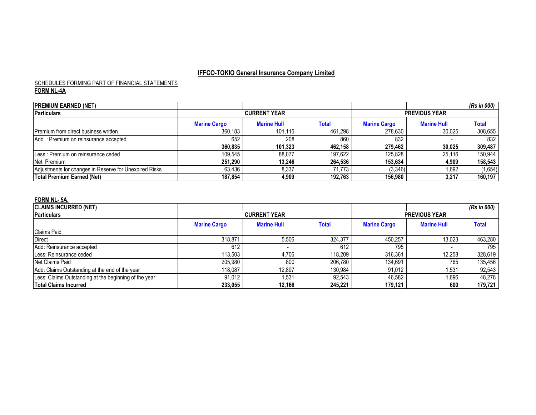#### **FORM NL-4A** SCHEDULES FORMING PART OF FINANCIAL STATEMENTS

| <b>PREMIUM EARNED (NET)</b>                            |                     |                     |              |                     |                      | (Rs in 000) |  |  |
|--------------------------------------------------------|---------------------|---------------------|--------------|---------------------|----------------------|-------------|--|--|
| <b>Particulars</b>                                     |                     | <b>CURRENT YEAR</b> |              |                     | <b>PREVIOUS YEAR</b> |             |  |  |
|                                                        | <b>Marine Cargo</b> | <b>Marine Hull</b>  | <b>Total</b> | <b>Marine Cargo</b> | <b>Marine Hull</b>   | Total       |  |  |
| Premium from direct business written                   | 360.183             | 101.115             | 461.298      | 278.630             | 30.025               | 308,655     |  |  |
| Add: Premium on reinsurance accepted                   | 652                 | 208                 | 860          | 832                 |                      | 832         |  |  |
|                                                        | 360.835             | 101.323             | 462,158      | 279.462             | 30,025               | 309,487     |  |  |
| ILess: Premium on reinsurance ceded                    | 109.545             | 88,077              | 197.622      | 125.828             | 25,116               | 150,944     |  |  |
| Net Premium                                            | 251.290             | 13.246              | 264,536      | 153.634             | 4,909                | 158,543     |  |  |
| Adjustments for changes in Reserve for Unexpired Risks | 63,436              | 8,337               | 71.773       | (3,346)             | 1,692                | (1,654)     |  |  |
| Total Premium Earned (Net)                             | 187.854             | 4.909               | 192,763      | 156.980             | 3,217                | 160,197     |  |  |

#### **FORM NL- 5A.**

| <b>CLAIMS INCURRED (NET)</b>                          |                     |                    |                     |                      |              | (Rs in 000) |
|-------------------------------------------------------|---------------------|--------------------|---------------------|----------------------|--------------|-------------|
| Particulars                                           | <b>CURRENT YEAR</b> |                    |                     | <b>PREVIOUS YEAR</b> |              |             |
|                                                       | <b>Marine Cargo</b> | <b>Marine Hull</b> | <b>Marine Cargo</b> | <b>Marine Hull</b>   | <b>Total</b> |             |
| <b>Claims Paid</b>                                    |                     |                    |                     |                      |              |             |
| <b>Direct</b>                                         | 318,871             | 5,506              | 324,377             | 450.257              | 13,023       | 463,280     |
| Add: Reinsurance accepted                             | 612                 |                    | 612                 | 795                  |              | 795         |
| Less: Reinsurance ceded                               | 113.503             | 4,706              | 118,209             | 316,361              | 12,258       | 328,619     |
| Net Claims Paid                                       | 205.980             | 800                | 206,780             | 134.691              | 765          | 135,456     |
| Add: Claims Outstanding at the end of the year        | 118.087             | 12.897             | 130.984             | 91.012               | .531         | 92,543      |
| Less: Claims Outstanding at the beginning of the year | 91,012              | .531               | 92,543              | 46,582               | ,696         | 48,278      |
| <b>Total Claims Incurred</b>                          | 233.055             | 12.166             | 245.221             | 179.121              | 600          | 179,721     |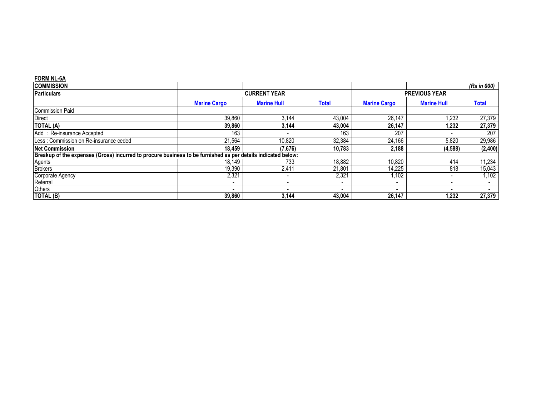#### **FORM NL-6A**

| <b>COMMISSION</b>                                                                                            |                     |                     |                          |                     |                      | (Rs in 000)  |  |
|--------------------------------------------------------------------------------------------------------------|---------------------|---------------------|--------------------------|---------------------|----------------------|--------------|--|
| <b>Particulars</b>                                                                                           |                     | <b>CURRENT YEAR</b> |                          |                     | <b>PREVIOUS YEAR</b> |              |  |
|                                                                                                              | <b>Marine Cargo</b> | <b>Marine Hull</b>  | Total                    | <b>Marine Cargo</b> | <b>Marine Hull</b>   | <b>Total</b> |  |
| <b>Commission Paid</b>                                                                                       |                     |                     |                          |                     |                      |              |  |
| <b>Direct</b>                                                                                                | 39,860              | 3,144               | 43,004                   | 26.147              | ,232                 | 27,379       |  |
| <b>TOTAL (A)</b>                                                                                             | 39,860              | 3,144               | 43,004                   | 26,147              | 1,232                | 27,379       |  |
| Add: Re-insurance Accepted                                                                                   | 163                 |                     | 163                      | 207                 |                      | 207          |  |
| Less : Commission on Re-insurance ceded                                                                      | 21,564              | 10,820              | 32,384                   | 24,166              | 5,820                | 29,986       |  |
| <b>Net Commission</b>                                                                                        | 18,459              | (7,676)             | 10.783                   | 2,188               | (4, 588)             | (2,400)      |  |
| Breakup of the expenses (Gross) incurred to procure business to be furnished as per details indicated below: |                     |                     |                          |                     |                      |              |  |
| Agents<br>Brokers                                                                                            | 18,149              | 733                 | 18,882                   | 10,820              | 414                  | 11,234       |  |
|                                                                                                              | 19,390              | 2,411               | 21,801                   | 14,225              | 818                  | 15,043       |  |
| Corporate Agency                                                                                             | 2,321               |                     | 2,321                    | .102                |                      | ,102         |  |
| Referral                                                                                                     |                     | $\blacksquare$      | $\overline{\phantom{a}}$ | ٠                   | ۰                    |              |  |
| Others                                                                                                       | $\blacksquare$      |                     |                          |                     |                      |              |  |
| TOTAL (B)                                                                                                    | 39,860              | 3,144               | 43,004                   | 26,147              | 1,232                | 27,379       |  |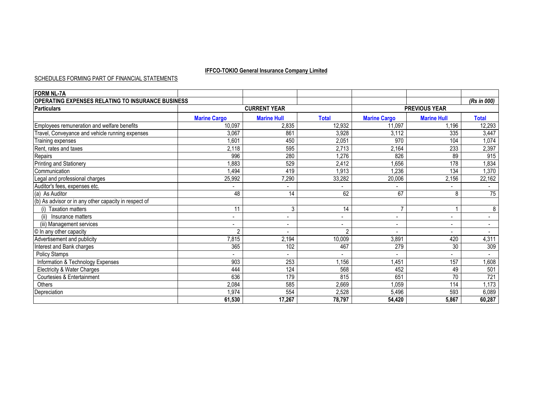#### SCHEDULES FORMING PART OF FINANCIAL STATEMENTS

| <b>FORM NL-7A</b>                                     |                          |                     |                          |                          |                    |                  |  |
|-------------------------------------------------------|--------------------------|---------------------|--------------------------|--------------------------|--------------------|------------------|--|
| OPERATING EXPENSES RELATING TO INSURANCE BUSINESS     |                          |                     |                          |                          |                    | (Rs in 000)      |  |
| <b>Particulars</b>                                    |                          | <b>CURRENT YEAR</b> |                          | <b>PREVIOUS YEAR</b>     |                    |                  |  |
|                                                       | <b>Marine Cargo</b>      | <b>Marine Hull</b>  | <b>Total</b>             | <b>Marine Cargo</b>      | <b>Marine Hull</b> | <b>Total</b>     |  |
| Employees remuneration and welfare benefits           | 10,097                   | 2,835               | 12,932                   | 11,097                   | ,196               | 12,293           |  |
| Travel, Conveyance and vehicle running expenses       | 3,067                    | 861                 | 3,928                    | 3,112                    | 335                | 3,447            |  |
| Training expenses                                     | 1,601                    | 450                 | 2,051                    | 970                      | 104                | 1,074            |  |
| Rent, rates and taxes                                 | 2,118                    | 595                 | 2,713                    | 2,164                    | 233                | 2,397            |  |
| Repairs                                               | 996                      | 280                 | 1,276                    | 826                      | 89                 | 915              |  |
| <b>Printing and Stationery</b>                        | 1,883                    | 529                 | 2,412                    | ,656                     | 178                | 1,834            |  |
| Communication                                         | ,494                     | 419                 | 1,913                    | .236                     | 134                | ,370             |  |
| Legal and professional charges                        | 25,992                   | 7,290               | 33,282                   | 20,006                   | 2,156              | 22,162           |  |
| Auditor's fees, expenses etc.                         |                          |                     |                          |                          |                    |                  |  |
| (a) As Auditor                                        | 48                       | 14                  | 62                       | 67                       | 8                  | $\overline{75}$  |  |
| (b) As advisor or in any other capacity in respect of |                          |                     |                          |                          |                    |                  |  |
| <b>Taxation matters</b>                               | 11                       | 3                   | 14                       |                          |                    | 8                |  |
| Insurance matters<br>(ii)                             | $\overline{\phantom{a}}$ |                     |                          | $\overline{\phantom{a}}$ |                    |                  |  |
| (iii) Management services                             | $\overline{\phantom{0}}$ |                     | $\overline{\phantom{a}}$ | $\overline{\phantom{a}}$ | $\blacksquare$     | $\blacksquare$   |  |
| © In any other capacity                               | $\overline{2}$           |                     | $\overline{2}$           | $\overline{\phantom{0}}$ | $\blacksquare$     | $\blacksquare$   |  |
| Advertisement and publicity                           | 7,815                    | 2,194               | 10,009                   | 3,891                    | 420                | 4,311            |  |
| Interest and Bank charges                             | 365                      | 102                 | 467                      | 279                      | 30                 | 309              |  |
| Policy Stamps                                         |                          |                     |                          |                          |                    |                  |  |
| Information & Technology Expenses                     | 903                      | 253                 | ,156                     | ,451                     | 157                | 0,608            |  |
| Electricity & Water Charges                           | 444                      | 124                 | 568                      | 452                      | 49                 | 501              |  |
| Courtesies & Entertainment                            | 636                      | 179                 | 815                      | 651                      | 70                 | $\overline{721}$ |  |
| Others                                                | 2,084                    | 585                 | 2,669                    | 1,059                    | 114                | 1,173            |  |
| Depreciation                                          | 1,974                    | 554                 | 2,528                    | 5,496                    | 593                | 6,089            |  |
|                                                       | 61,530                   | 17,267              | 78,797                   | 54,420                   | 5,867              | 60,287           |  |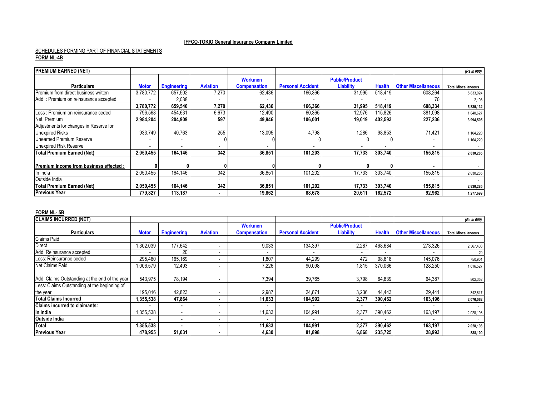#### **FORM NL-4B** 4,445,544,005 SCHEDULES FORMING PART OF FINANCIAL STATEMENTS

| <b>PREMIUM EARNED (NET)</b>                    |                          |                          |                 |                     |                          |                       |               |                            | (Rs in 000)                |
|------------------------------------------------|--------------------------|--------------------------|-----------------|---------------------|--------------------------|-----------------------|---------------|----------------------------|----------------------------|
|                                                |                          |                          |                 | <b>Workmen</b>      |                          | <b>Public/Product</b> |               |                            |                            |
| <b>Particulars</b>                             | <b>Motor</b>             | <b>Engineering</b>       | <b>Aviation</b> | <b>Compensation</b> | <b>Personal Accident</b> | <b>Liability</b>      | <b>Health</b> | <b>Other Miscellaneous</b> | <b>Total Miscellaneous</b> |
| Premium from direct business written           | 3,780,772                | 657,502                  | 7,270           | 62,436              | 166,366                  | 31,995                | 518,419       | 608,264                    | 5,833,024                  |
| Add: Premium on reinsurance accepted           |                          | 2,038                    |                 |                     |                          |                       |               | 70                         | 2,108                      |
|                                                | 3,780,772                | 659,540                  | 7,270           | 62,436              | 166.366                  | 31,995                | 518,419       | 608,334                    | 5,835,132                  |
| Less : Premium on reinsurance ceded            | 796,568                  | 454,631                  | 6,673           | 12,490              | 60,365                   | 12,976                | 115,826       | 381,098                    | 1,840,627                  |
| Net Premium                                    | 2,984,204                | 204,909                  | 597             | 49,946              | 106.001                  | 19,019                | 402,593       | 227,236                    | 3,994,505                  |
| Adjustments for changes in Reserve for         |                          |                          |                 |                     |                          |                       |               |                            |                            |
| <b>Unexpired Risks</b>                         | 933,749                  | 40,763                   | 255             | 13,095              | 4,798                    | 1,286                 | 98,853        | 71,421                     | 1,164,220                  |
| <b>Unearned Premium Reserve</b>                | $\overline{\phantom{a}}$ | $\overline{\phantom{a}}$ |                 |                     |                          |                       |               | $\overline{\phantom{0}}$   | 1,164,220                  |
| <b>Unexpired Risk Reserve</b>                  |                          | $\overline{\phantom{a}}$ |                 |                     |                          |                       |               | $\overline{\phantom{0}}$   |                            |
| <b>Total Premium Earned (Net)</b>              | 2,050,455                | 164.146                  | 342             | 36,851              | 101.203                  | 17,733                | 303,740       | 155,815                    | 2,830,285                  |
|                                                |                          |                          |                 |                     |                          |                       |               |                            |                            |
| <b>IPremium Income from business effected:</b> |                          |                          |                 |                     |                          |                       |               |                            |                            |
| In India                                       | 2,050,455                | 164.146                  | 342             | 36,851              | 101.202                  | 17,733                | 303,740       | 155,815                    | 2,830,285                  |
| Outside India                                  |                          |                          |                 |                     |                          |                       |               |                            |                            |
| Total Premium Earned (Net)                     | 2,050,455                | 164.146                  | 342             | 36,851              | 101.202                  | 17,733                | 303,740       | 155.815                    | 2,830,285                  |
| <b>Previous Year</b>                           | 779.827                  | 113.187                  |                 | 19.862              | 88.678                   | 20,611                | 162.572       | 92.962                     | 1,277,699                  |

#### **FORM NL- 5B**

| <b>CLAIMS INCURRED (NET)</b>                   |              |                          |                 |                     |                          |                          |                          |                            | (Rs in 000)                |
|------------------------------------------------|--------------|--------------------------|-----------------|---------------------|--------------------------|--------------------------|--------------------------|----------------------------|----------------------------|
|                                                |              |                          |                 | <b>Workmen</b>      |                          | <b>Public/Product</b>    |                          |                            |                            |
| <b>Particulars</b>                             | <b>Motor</b> | <b>Engineering</b>       | <b>Aviation</b> | <b>Compensation</b> | <b>Personal Accident</b> | <b>Liability</b>         | <b>Health</b>            | <b>Other Miscellaneous</b> | <b>Total Miscellaneous</b> |
| <b>Claims Paid</b>                             |              |                          |                 |                     |                          |                          |                          |                            |                            |
| Direct                                         | ,302,039     | 177,642                  |                 | 9,033               | 134,397                  | 2,287                    | 468,684                  | 273,326                    | 2,367,408                  |
| Add: Reinsurance accepted                      |              | 20                       |                 |                     |                          | $\overline{\phantom{a}}$ | $\overline{\phantom{a}}$ |                            | 20                         |
| Less: Reinsurance ceded                        | 295,460      | 165,169                  |                 | 1,807               | 44,299                   | 472                      | 98,618                   | 145.076                    | 750,901                    |
| Net Claims Paid                                | .006,579     | 12,493                   |                 | 7,226               | 90,098                   | 1,815                    | 370,066                  | 128,250                    | 1,616,527                  |
|                                                |              |                          |                 |                     |                          |                          |                          |                            |                            |
| Add: Claims Outstanding at the end of the year | 543,975      | 78,194                   |                 | 7,394               | 39,765                   | 3,798                    | 64,839                   | 64,387                     | 802,352                    |
| Less: Claims Outstanding at the beginning of   |              |                          |                 |                     |                          |                          |                          |                            |                            |
| the year                                       | 195,016      | 42,823                   |                 | 2,987               | 24.871                   | 3,236                    | 44.443                   | 29.441                     | 342,817                    |
| <b>Total Claims Incurred</b>                   | 1,355,538    | 47,864                   |                 | 11,633              | 104,992                  | 2,377                    | 390,462                  | 163.196                    | 2,076,062                  |
| <b>Claims incurred to claimants:</b>           |              | $\blacksquare$           |                 |                     |                          |                          | $\overline{\phantom{a}}$ | $\overline{\phantom{a}}$   |                            |
| In India                                       | ,355,538     | $\overline{\phantom{a}}$ |                 | 11,633              | 104,991                  | 2,377                    | 390,462                  | 163,197                    | 2,028,198                  |
| <b>Outside India</b>                           |              | $\overline{\phantom{a}}$ |                 |                     |                          | $\overline{\phantom{a}}$ |                          |                            |                            |
| Total                                          | 1,355,538    | $\blacksquare$           |                 | 11,633              | 104.991                  | 2,377                    | 390.462                  | 163.197                    | 2,028,198                  |
| <b>Previous Year</b>                           | 478,955      | 51,031                   |                 | 4,630               | 81.898                   | 6,868                    | 235,725                  | 28,993                     | 888,100                    |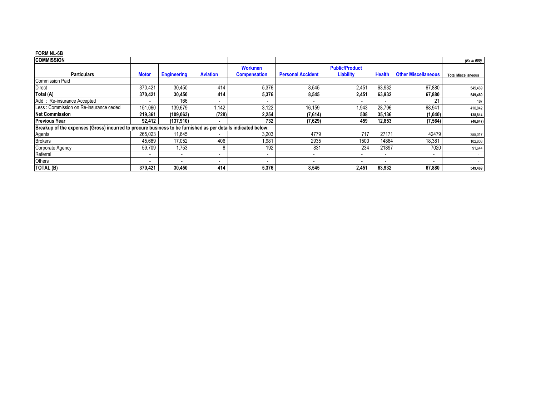#### **FORM NL-6B**

| <b>COMMISSION</b>                                                                                            |                          |                          |                 |                          |                          |                          |                          |                            | (Rs in 000)                |
|--------------------------------------------------------------------------------------------------------------|--------------------------|--------------------------|-----------------|--------------------------|--------------------------|--------------------------|--------------------------|----------------------------|----------------------------|
|                                                                                                              |                          |                          |                 | <b>Workmen</b>           |                          | <b>Public/Product</b>    |                          |                            |                            |
| <b>Particulars</b>                                                                                           | <b>Motor</b>             | <b>Engineering</b>       | <b>Aviation</b> | <b>Compensation</b>      | <b>Personal Accident</b> | <b>Liability</b>         | <b>Health</b>            | <b>Other Miscellaneous</b> | <b>Total Miscellaneous</b> |
| <b>Commission Paid</b>                                                                                       |                          |                          |                 |                          |                          |                          |                          |                            |                            |
| Direct                                                                                                       | 370.421                  | 30,450                   | 414             | 5,376                    | 8,545                    | 2,451                    | 63,932                   | 67.880                     | 549,469                    |
| Total (A)                                                                                                    | 370,421                  | 30,450                   | 414             | 5,376                    | 8,545                    | 2,451                    | 63,932                   | 67,880                     | 549,469                    |
| Add: Re-insurance Accepted                                                                                   |                          | 166                      |                 |                          |                          | $\overline{\phantom{a}}$ | $\overline{\phantom{a}}$ | 21                         | 187                        |
| Less: Commission on Re-insurance ceded                                                                       | 151,060                  | 139,679                  | 1,142           | 3,122                    | 16,159                   | ,943                     | 28,796                   | 68,941                     | 410,842                    |
| <b>Net Commission</b>                                                                                        | 219,361                  | (109, 063)               | (728)           | 2,254                    | (7,614)                  | 508                      | 35,136                   | (1,040)                    | 138,814                    |
| <b>Previous Year</b>                                                                                         | 92.412                   | (137,910)                |                 | 732                      | (7,629)                  | 459                      | 12,853                   | (7, 564)                   | (46, 647)                  |
| Breakup of the expenses (Gross) incurred to procure business to be furnished as per details indicated below: |                          |                          |                 |                          |                          |                          |                          |                            |                            |
| Agents                                                                                                       | 265,023                  | 11,645                   |                 | 3,203                    | 4779                     | 717                      | 27171                    | 42479                      | 355,017                    |
| <b>Brokers</b>                                                                                               | 45,689                   | 17,052                   | 406             | 1,981                    | 2935                     | 1500                     | 14864                    | 18,381                     | 102,808                    |
| Corporate Agency                                                                                             | 59,709                   | 1,753                    |                 | 192                      | 831                      | 234                      | 21897                    | 7020                       | 91,644                     |
| Referral                                                                                                     | $\overline{\phantom{0}}$ | $\overline{\phantom{a}}$ |                 | $\overline{\phantom{a}}$ |                          | $\overline{\phantom{0}}$ | $\overline{\phantom{a}}$ | $\overline{\phantom{a}}$   |                            |
| Others                                                                                                       | $\overline{\phantom{a}}$ | $\overline{\phantom{0}}$ |                 |                          |                          | $\overline{\phantom{0}}$ | $\overline{\phantom{a}}$ |                            |                            |
| TOTAL (B)                                                                                                    | 370,421                  | 30,450                   | 414             | 5,376                    | 8,545                    | 2,451                    | 63,932                   | 67,880                     | 549,469                    |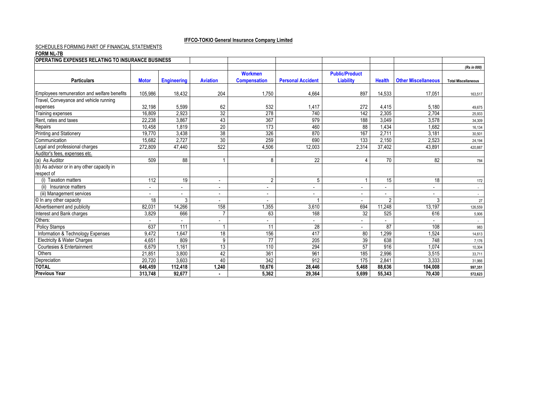#### SCHEDULES FORMING PART OF FINANCIAL STATEMENTS

#### **FORM NL-7B**

| <b>OPERATING EXPENSES RELATING TO INSURANCE BUSINESS</b> |                          |                          |                          |                     |                              |                          |               |                            |                            |
|----------------------------------------------------------|--------------------------|--------------------------|--------------------------|---------------------|------------------------------|--------------------------|---------------|----------------------------|----------------------------|
|                                                          |                          |                          |                          |                     |                              |                          |               |                            | (Rs in 000)                |
|                                                          |                          |                          |                          | <b>Workmen</b>      |                              | <b>Public/Product</b>    |               |                            |                            |
| <b>Particulars</b>                                       | <b>Motor</b>             | <b>Engineering</b>       | <b>Aviation</b>          | <b>Compensation</b> | <b>Personal Accident</b>     | Liability                | <b>Health</b> | <b>Other Miscellaneous</b> | <b>Total Miscellaneous</b> |
|                                                          |                          |                          |                          |                     |                              |                          |               |                            |                            |
| Employees remuneration and welfare benefits              | 105,986                  | 18,432                   | 204                      | 1,750               | 4,664                        | 897                      | 14,533        | 17,051                     | 163,517                    |
| Travel, Conveyance and vehicle running                   |                          |                          |                          |                     |                              |                          |               |                            |                            |
| expenses                                                 | 32,198                   | 5,599                    | 62                       | 532                 | 1,417                        | 272                      | 4,415         | 5,180                      | 49,675                     |
| Training expenses                                        | 16,809                   | 2,923                    | 32                       | 278                 | 740                          | 142                      | 2,305         | 2,704                      | 25,933                     |
| Rent, rates and taxes                                    | 22,238                   | 3,867                    | 43                       | 367                 | 979                          | 188                      | 3,049         | 3,578                      | 34,309                     |
| Repairs                                                  | 10,458                   | 1,819                    | $\overline{20}$          | 173                 | 460                          | 88                       | 1,434         | 1,682                      | 16,134                     |
| Printing and Stationery                                  | 19,770                   | 3,438                    | $\overline{38}$          | 326                 | 870                          | 167                      | 2,711         | 3,181                      | 30,501                     |
| Communication                                            | 15,682                   | 2.727                    | 30                       | 259                 | 690                          | 133                      | 2,150         | 2,523                      | 24,194                     |
| Legal and professional charges                           | 272.809                  | 47,440                   | 522                      | 4.506               | 12.003                       | 2.314                    | 37,402        | 43.891                     | 420.887                    |
| Auditor's fees, expenses etc.                            |                          |                          |                          |                     |                              |                          |               |                            |                            |
| (a) As Auditor                                           | 509                      | 88                       |                          | 8                   | 22                           |                          | 70            | 82                         | 784                        |
| (b) As advisor or in any other capacity in               |                          |                          |                          |                     |                              |                          |               |                            |                            |
| respect of                                               |                          |                          |                          |                     |                              |                          |               |                            |                            |
| <b>Taxation matters</b>                                  | 112                      | 19                       | $\overline{\phantom{a}}$ | 2                   | 5                            |                          | 15            | 18                         | 172                        |
| Insurance matters<br>(ii)                                | $\overline{\phantom{a}}$ | $\overline{\phantom{0}}$ |                          |                     | $\qquad \qquad \blacksquare$ | $\blacksquare$           |               | $\overline{\phantom{a}}$   | $\sim$                     |
| (iii) Management services                                |                          |                          |                          |                     | $\overline{\phantom{a}}$     | $\blacksquare$           |               |                            | $\sim$                     |
| © In any other capacity                                  | 18                       | 3                        |                          |                     |                              | $\overline{\phantom{a}}$ | റ             | 3                          | 27                         |
| Advertisement and publicity                              | 82,031                   | 14,266                   | 158                      | 1,355               | 3,610                        | 694                      | 11,248        | 13,197                     | 126,559                    |
| Interest and Bank charges                                | 3,829                    | 666                      | $\overline{7}$           | 63                  | 168                          | 32                       | 525           | 616                        | 5,906                      |
| Others:                                                  |                          |                          |                          |                     |                              | $\overline{\phantom{a}}$ |               |                            |                            |
| <b>Policy Stamps</b>                                     | 637                      | 111                      |                          | 11                  | 28                           |                          | 87            | 108                        | 983                        |
| Information & Technology Expenses                        | 9.472                    | 1,647                    | 18                       | 156                 | 417                          | 80                       | 1,299         | .524                       | 14,613                     |
| <b>Electricity &amp; Water Charges</b>                   | 4,651                    | 809                      | 9                        | $\overline{77}$     | $\overline{205}$             | 39                       | 638           | 748                        | 7,176                      |
| Courtesies & Entertainment                               | 6.679                    | 1.161                    | 13                       | 110                 | 294                          | 57                       | 916           | 1.074                      | 10,304                     |
| Others                                                   | 21,851                   | 3,800                    | 42                       | 361                 | 961                          | 185                      | 2,996         | 3,515                      | 33,711                     |
| Depreciation                                             | 20.720                   | 3.603                    | 40                       | 342                 | 912                          | 175                      | 2,841         | 3.333                      | 31,966                     |
| <b>TOTAL</b>                                             | 646,459                  | 112,418                  | 1,240                    | 10,676              | 28,446                       | 5,468                    | 88,636        | 104,008                    | 997,351                    |
| <b>Previous Year</b>                                     | 313,748                  | 92.677                   |                          | 5.362               | 29,364                       | 5.699                    | 55,343        | 70,430                     | 572,623                    |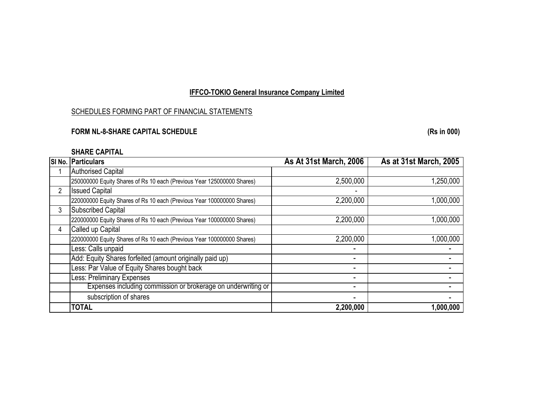## SCHEDULES FORMING PART OF FINANCIAL STATEMENTS

## **FORM NL-8-SHARE CAPITAL SCHEDULE (Rs in 000)**

## **SHARE CAPITAL**

|                | SI No. Particulars                                                     | <b>As At 31st March, 2006</b> | As at 31st March, 2005 |
|----------------|------------------------------------------------------------------------|-------------------------------|------------------------|
|                | <b>Authorised Capital</b>                                              |                               |                        |
|                | 250000000 Equity Shares of Rs 10 each (Previous Year 125000000 Shares) | 2,500,000                     | 1,250,000              |
| $\overline{2}$ | <b>Issued Capital</b>                                                  |                               |                        |
|                | 220000000 Equity Shares of Rs 10 each (Previous Year 100000000 Shares) | 2,200,000                     | 1,000,000              |
| 3              | <b>Subscribed Capital</b>                                              |                               |                        |
|                | 220000000 Equity Shares of Rs 10 each (Previous Year 100000000 Shares) | 2,200,000                     | 1,000,000              |
| 4              | Called up Capital                                                      |                               |                        |
|                | 220000000 Equity Shares of Rs 10 each (Previous Year 100000000 Shares) | 2,200,000                     | 1,000,000              |
|                | Less: Calls unpaid                                                     |                               |                        |
|                | Add: Equity Shares forfeited (amount originally paid up)               | -                             |                        |
|                | Less: Par Value of Equity Shares bought back                           |                               |                        |
|                | Less: Preliminary Expenses                                             |                               |                        |
|                | Expenses including commission or brokerage on underwriting or          | -                             |                        |
|                | subscription of shares                                                 |                               |                        |
|                | <b>TOTAL</b>                                                           | 2,200,000                     | 1,000,000              |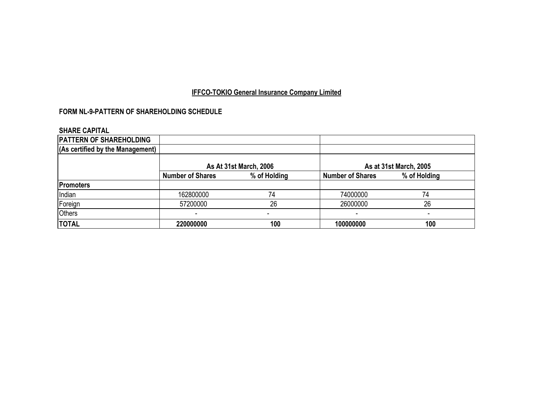## **FORM NL-9-PATTERN OF SHAREHOLDING SCHEDULE**

## **SHARE CAPITAL**

| <b>PATTERN OF SHAREHOLDING</b>   |                         |                        |                         |                        |
|----------------------------------|-------------------------|------------------------|-------------------------|------------------------|
| (As certified by the Management) |                         |                        |                         |                        |
|                                  |                         | As At 31st March, 2006 |                         | As at 31st March, 2005 |
|                                  | <b>Number of Shares</b> | % of Holding           | <b>Number of Shares</b> | % of Holding           |
| <b>Promoters</b>                 |                         |                        |                         |                        |
| Indian                           | 162800000               | 74                     | 74000000                | 74                     |
| Foreign                          | 57200000                | 26                     | 26000000                | 26                     |
| <b>Others</b>                    |                         | -                      |                         |                        |
| <b>TOTAL</b>                     | 220000000               | 100                    | 100000000               | 100                    |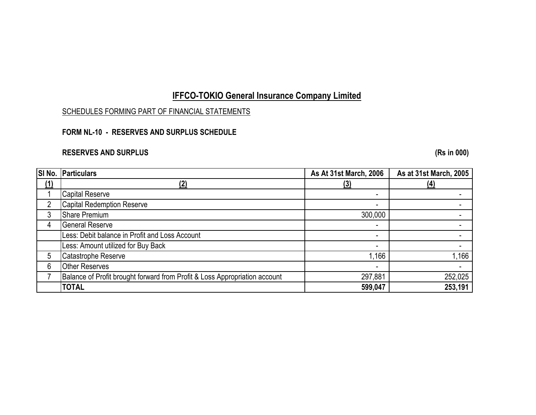## SCHEDULES FORMING PART OF FINANCIAL STATEMENTS

## **FORM NL-10 - RESERVES AND SURPLUS SCHEDULE**

## **RESERVES AND SURPLUS (Rs in 000)**

| SI No. | Particulars                                                                | As At 31st March, 2006 | As at 31st March, 2005 |
|--------|----------------------------------------------------------------------------|------------------------|------------------------|
| (1)    | '2)                                                                        | <u>(3)</u>             | <u>(4)</u>             |
|        | <b>Capital Reserve</b>                                                     |                        |                        |
| 2      | <b>Capital Redemption Reserve</b>                                          | -                      |                        |
| 3      | <b>Share Premium</b>                                                       | 300,000                |                        |
| 4      | <b>General Reserve</b>                                                     | -                      |                        |
|        | Less: Debit balance in Profit and Loss Account                             | -                      |                        |
|        | Less: Amount utilized for Buy Back                                         | -                      |                        |
| 5      | Catastrophe Reserve                                                        | 1,166                  | 1,166                  |
| 6      | <b>Other Reserves</b>                                                      | -                      |                        |
|        | Balance of Profit brought forward from Profit & Loss Appropriation account | 297,881                | 252,025                |
|        | <b>TOTAL</b>                                                               | 599,047                | 253,191                |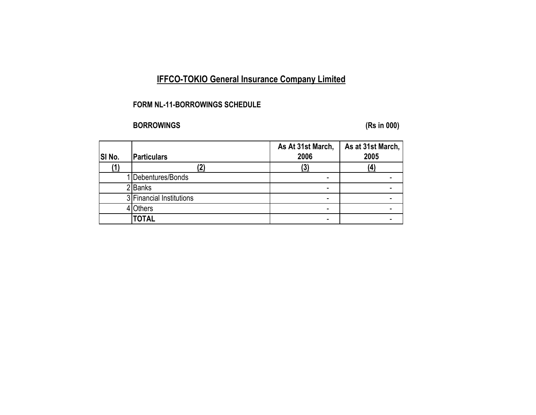## **FORM NL-11-BORROWINGS SCHEDULE**

# **BORROWINGS (Rs in 000)**

| SI No. | <b>Particulars</b>       | As At 31st March,<br>2006 | As at 31st March,<br>2005 |
|--------|--------------------------|---------------------------|---------------------------|
|        |                          |                           |                           |
| (1)    |                          | $\left(3\right)$          | (4)                       |
|        | Debentures/Bonds         |                           |                           |
|        | 2Banks                   |                           |                           |
|        | 3 Financial Institutions |                           |                           |
|        | <b>Others</b>            |                           |                           |
|        | <b>TOTAL</b>             |                           |                           |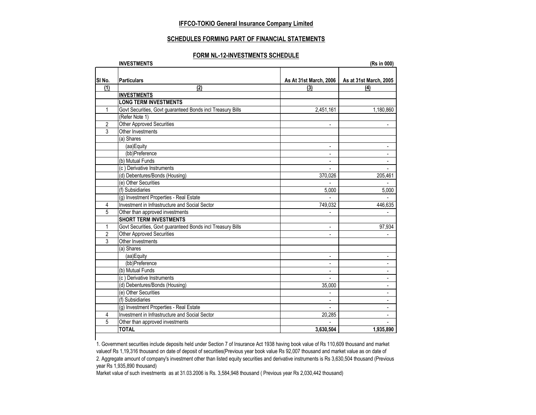#### **SCHEDULES FORMING PART OF FINANCIAL STATEMENTS**

#### **FORM NL-12-INVESTMENTS SCHEDULE**

|                | <b>INVESTMENTS</b>                                         | (Rs in 000)              |                          |  |  |  |
|----------------|------------------------------------------------------------|--------------------------|--------------------------|--|--|--|
| SINo.          | <b>Particulars</b>                                         | As At 31st March, 2006   | As at 31st March, 2005   |  |  |  |
| (1)            | (2)                                                        | (3)                      | (4)                      |  |  |  |
|                | <b>INVESTMENTS</b>                                         |                          |                          |  |  |  |
|                | <b>LONG TERM INVESTMENTS</b>                               |                          |                          |  |  |  |
| 1              | Govt Securities, Govt guaranteed Bonds incl Treasury Bills | 2,451,161                | 1,180,860                |  |  |  |
|                | (Refer Note 1)                                             |                          |                          |  |  |  |
| 2              | <b>Other Approved Securities</b>                           | $\blacksquare$           |                          |  |  |  |
| 3              | Other Investments                                          |                          |                          |  |  |  |
|                | (a) Shares                                                 |                          |                          |  |  |  |
|                | (aa)Equity                                                 |                          |                          |  |  |  |
|                | (bb)Preference                                             |                          |                          |  |  |  |
|                | (b) Mutual Funds                                           | $\overline{a}$           |                          |  |  |  |
|                | (c) Derivative Instruments                                 | $\overline{a}$           |                          |  |  |  |
|                | (d) Debentures/Bonds (Housing)                             | 370,026                  | 205,461                  |  |  |  |
|                | (e) Other Securities                                       |                          |                          |  |  |  |
|                | (f) Subsidiaries                                           | 5,000                    | 5,000                    |  |  |  |
|                | (g) Investment Properties - Real Estate                    |                          |                          |  |  |  |
| 4              | Investment in Infrastructure and Social Sector             | 749,032                  | 446,635                  |  |  |  |
| 5              | Other than approved investments                            | $\blacksquare$           |                          |  |  |  |
|                | <b>SHORT TERM INVESTMENTS</b>                              |                          |                          |  |  |  |
| 1              | Govt Securities, Govt guaranteed Bonds incl Treasury Bills | $\mathbf{r}$             | 97,934                   |  |  |  |
| $\overline{2}$ | <b>Other Approved Securities</b>                           | $\blacksquare$           |                          |  |  |  |
| 3              | Other Investments                                          |                          |                          |  |  |  |
|                | (a) Shares                                                 |                          |                          |  |  |  |
|                | (aa)Equity                                                 | $\overline{\phantom{a}}$ | -                        |  |  |  |
|                | (bb)Preference                                             | $\overline{\phantom{a}}$ | ۰                        |  |  |  |
|                | (b) Mutual Funds                                           | $\blacksquare$           | $\frac{1}{2}$            |  |  |  |
|                | (c) Derivative Instruments                                 |                          | $\frac{1}{2}$            |  |  |  |
|                | (d) Debentures/Bonds (Housing)                             | 35,000                   | $\overline{\phantom{m}}$ |  |  |  |
|                | (e) Other Securities                                       |                          | $\frac{1}{2}$            |  |  |  |
|                | (f) Subsidiaries                                           | $\frac{1}{2}$            | ä,                       |  |  |  |
|                | (g) Investment Properties - Real Estate                    |                          | $\overline{a}$           |  |  |  |
| 4              | Investment in Infrastructure and Social Sector             | 20,285                   | $\overline{a}$           |  |  |  |
| 5              | Other than approved investments                            |                          |                          |  |  |  |
|                | <b>TOTAL</b>                                               | 3,630,504                | 1,935,890                |  |  |  |

1. Government securities include deposits held under Section 7 of Insurance Act 1938 having book value of Rs 110,609 thousand and market valueof Rs 1,19,316 thousand on date of deposit of securities(Previous year book value Rs 92,007 thousand and market value as on date of 2. Aggregate amount of company's investment other than listed equity securities and derivative instruments is Rs 3,630,504 thousand (Previous year Rs 1,935,890 thousand)

Market value of such investments as at 31.03.2006 is Rs. 3,584,948 thousand ( Previous year Rs 2,030,442 thousand)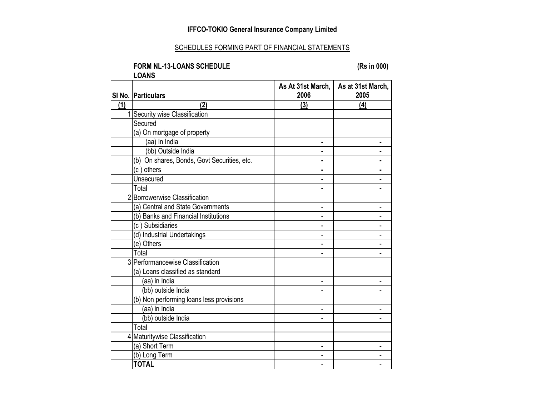#### SCHEDULES FORMING PART OF FINANCIAL STATEMENTS

#### **FORM NL-13-LOANS SCHEDULE (Rs in 000) LOANS**

**SI No. Particulars As At 31st March, 2006 As at 31st March, 2005 (1) (2) (3) (4)** 1 Security wise Classification **Secured** (a) On mortgage of property (aa) In India **- -** (bb) Outside India **and a** second of the second of the second of the second of the second of the second of the second of the second of the second of the second of the second of the second of the second of the second of the (b) On shares, Bonds, Govt Securities, etc. **- -** - **-** - **-** - **-** -(c ) others **- - Unsecured -**  $\qquad$  **-**  $\qquad$  **-**  $\qquad$  **-**  $\qquad$  **-**  $\qquad$  **-**  $\qquad$  **-**  $\qquad$  **-**  $\qquad$  **-**  $\qquad$  **-**  $\qquad$  **-**  $\qquad$  **-**  $\qquad$  **-**  $\qquad$  **-**  $\qquad$  **-**  $\qquad$  **-**  $\qquad$  **-**  $\qquad$  **-**  $\qquad$  **-**  $\qquad$  **-**  $\qquad$  **-**  $\qquad$  Total **- -** 2 Borrowerwise Classification (a) Central and State Governments 4. The state of the state of the state of the state of the state of the state of the state of the state of the state of the state of the state of the state of the state of the state of the (b) Banks and Financial Institutions - - (c ) Subsidiaries - - (d) Industrial Undertakings and the state of the state of the state of the state of the state of the state of the state of the state of the state of the state of the state of the state of the state of the state of the stat  $(e)$  Others  $\qquad \qquad$  -  $\qquad \qquad$ Total - - 3 Performancewise Classification (a) Loans classified as standard (aa) in India - - (bb) outside India and the contract of the contract of the contract of the contract of the contract of the contract of the contract of the contract of the contract of the contract of the contract of the contract of the con (b) Non performing loans less provisions  $(aa)$  in India  $a = -1$ (bb) outside India experience of the set of the set of the set of the set of the set of the set of the set of the set of the set of the set of the set of the set of the set of the set of the set of the set of the set of th Total 4 Maturitywise Classification  $(a)$  Short Term  $\qquad \qquad \qquad$ (b) Long Term - - **TOTAL** - -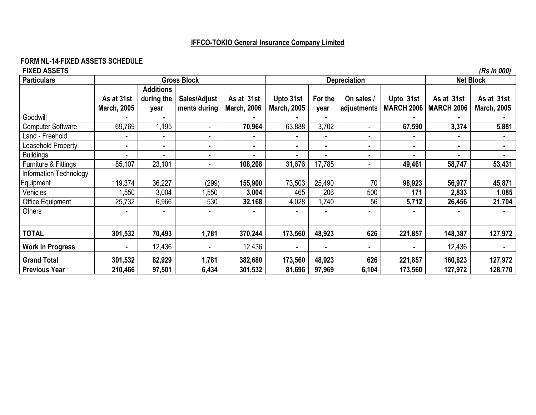# **FORM NL-14-FIXED ASSETS SCHEDULE**

| <b>FIXED ASSETS</b><br><b>Particulars</b> | <b>Gross Block</b><br><b>Depreciation</b><br><b>Net Block</b> |                          |                |                    |                          |                |                          |                   |                   | (Rs in 000)        |
|-------------------------------------------|---------------------------------------------------------------|--------------------------|----------------|--------------------|--------------------------|----------------|--------------------------|-------------------|-------------------|--------------------|
|                                           |                                                               | <b>Additions</b>         |                |                    |                          |                |                          |                   |                   |                    |
|                                           | As at 31st                                                    | during the               | Sales/Adjust   | As at 31st         | Upto 31st                | For the        | On sales /               | Upto 31st         | As at 31st        | As at 31st         |
|                                           | <b>March, 2005</b>                                            | year                     | ments during   | <b>March, 2006</b> | <b>March, 2005</b>       | year           | adjustments              | <b>MARCH 2006</b> | <b>MARCH 2006</b> | <b>March, 2005</b> |
| Goodwill                                  |                                                               | ٠                        |                |                    |                          | $\blacksquare$ |                          |                   |                   |                    |
| <b>Computer Software</b>                  | 69,769                                                        | 1,195                    | $\blacksquare$ | 70,964             | 63,888                   | 3,702          | $\blacksquare$           | 67,590            | 3,374             | 5,881              |
| Land - Freehold                           | ۰.                                                            | $\blacksquare$           | $\blacksquare$ | ٠.                 | ٠                        | $\blacksquare$ | $\blacksquare$           |                   | $\blacksquare$    |                    |
| Leasehold Property                        | $\blacksquare$                                                | ٠                        |                | $\blacksquare$     | ٠                        | ۰              | ۰.                       | ٠                 | $\blacksquare$    |                    |
| <b>Buildings</b>                          |                                                               | $\blacksquare$           | $\blacksquare$ |                    | $\blacksquare$           | $\blacksquare$ | ۰.                       |                   | $\blacksquare$    |                    |
| Furniture & Fittings                      | 85,107                                                        | 23,101                   |                | 108,208            | 31,676                   | 17,785         | $\overline{\phantom{0}}$ | 49,461            | 58,747            | 53,431             |
| Information Technology                    |                                                               |                          |                |                    |                          |                |                          |                   |                   |                    |
| Equipment                                 | 119,374                                                       | 36,227                   | (299)          | 155,900            | 73,503                   | 25,490         | 70                       | 98,923            | 56,977            | 45,871             |
| Vehicles                                  | 1,550                                                         | 3,004                    | ,550           | 3,004              | 465                      | 206            | 500                      | 171               | 2,833             | 1,085              |
| Office Equipment                          | 25,732                                                        | 6,966                    | 530            | 32,168             | 4,028                    | 1,740          | 56                       | 5,712             | 26,456            | 21,704             |
| Others                                    |                                                               | $\overline{\phantom{a}}$ |                |                    | $\overline{\phantom{0}}$ | $\blacksquare$ |                          |                   | $\blacksquare$    |                    |
| <b>TOTAL</b>                              | 301,532                                                       | 70,493                   | 1,781          | 370,244            | 173,560                  | 48,923         | 626                      | 221,857           | 148,387           | 127,972            |
| <b>Work in Progress</b>                   |                                                               | 12,436                   |                | 12,436             | ٠                        | $\overline{a}$ |                          |                   | 12,436            |                    |
| <b>Grand Total</b>                        | 301,532                                                       | 82,929                   | 1,781          | 382,680            | 173,560                  | 48,923         | 626                      | 221,857           | 160,823           | 127,972            |
| <b>Previous Year</b>                      | 210,466                                                       | 97,501                   | 6,434          | 301,532            | 81,696                   | 97,969         | 6,104                    | 173,560           | 127,972           | 128,770            |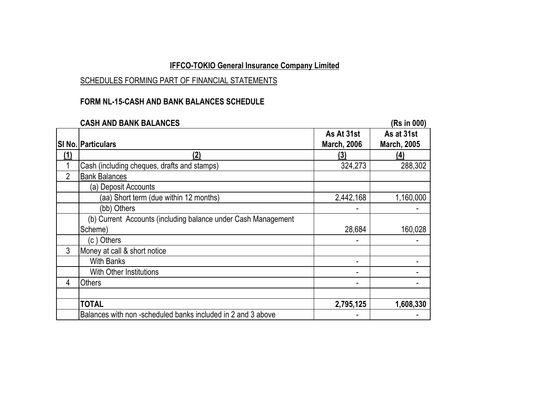## SCHEDULES FORMING PART OF FINANCIAL STATEMENTS

## **FORM NL-15-CASH AND BANK BALANCES SCHEDULE**

|            | <b>CASH AND BANK BALANCES</b>                                 |                                  | (Rs in 000)                      |
|------------|---------------------------------------------------------------|----------------------------------|----------------------------------|
|            | <b>SI No. Particulars</b>                                     | As At 31st<br><b>March, 2006</b> | As at 31st<br><b>March, 2005</b> |
| <u>(1)</u> | <u>(2)</u>                                                    | <u>(3)</u>                       | (4)                              |
|            | Cash (including cheques, drafts and stamps)                   | 324,273                          | 288,302                          |
| 2          | <b>Bank Balances</b>                                          |                                  |                                  |
|            | (a) Deposit Accounts                                          |                                  |                                  |
|            | (aa) Short term (due within 12 months)                        | 2,442,168                        | 1,160,000                        |
|            | (bb) Others                                                   |                                  |                                  |
|            | (b) Current Accounts (including balance under Cash Management |                                  |                                  |
|            | Scheme)                                                       | 28,684                           | 160,028                          |
|            | (c) Others                                                    |                                  |                                  |
| 3          | Money at call & short notice                                  |                                  |                                  |
|            | <b>With Banks</b>                                             |                                  |                                  |
|            | With Other Institutions                                       |                                  |                                  |
| 4          | <b>Others</b>                                                 |                                  |                                  |
|            |                                                               |                                  |                                  |
|            | <b>TOTAL</b>                                                  | 2,795,125                        | 1,608,330                        |
|            | Balances with non-scheduled banks included in 2 and 3 above   |                                  |                                  |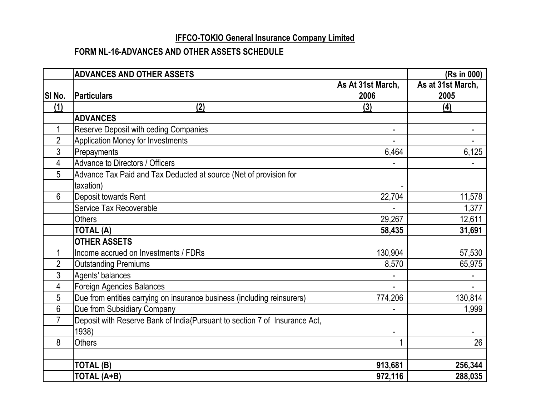## **FORM NL-16-ADVANCES AND OTHER ASSETS SCHEDULE**

|                | <b>ADVANCES AND OTHER ASSETS</b>                                           |                          | (Rs in 000)       |
|----------------|----------------------------------------------------------------------------|--------------------------|-------------------|
|                |                                                                            | As At 31st March,        | As at 31st March, |
| SI No.         | Particulars                                                                | 2006                     | 2005              |
| (1)            | (2)                                                                        | (3)                      | (4)               |
|                | <b>ADVANCES</b>                                                            |                          |                   |
| $\mathbf 1$    | Reserve Deposit with ceding Companies                                      | $\overline{\phantom{a}}$ |                   |
| $\overline{2}$ | Application Money for Investments                                          |                          |                   |
| 3              | Prepayments                                                                | 6,464                    | 6,125             |
| 4              | Advance to Directors / Officers                                            |                          |                   |
| 5              | Advance Tax Paid and Tax Deducted at source (Net of provision for          |                          |                   |
|                | taxation)                                                                  |                          |                   |
| 6              | Deposit towards Rent                                                       | 22,704                   | 11,578            |
|                | Service Tax Recoverable                                                    |                          | 1,377             |
|                | <b>Others</b>                                                              | 29,267                   | 12,611            |
|                | <b>TOTAL (A)</b>                                                           | 58,435                   | 31,691            |
|                | <b>OTHER ASSETS</b>                                                        |                          |                   |
|                | Income accrued on Investments / FDRs                                       | 130,904                  | 57,530            |
| $\overline{2}$ | <b>Outstanding Premiums</b>                                                | 8,570                    | 65,975            |
| 3              | Agents' balances                                                           |                          |                   |
| 4              | <b>Foreign Agencies Balances</b>                                           |                          |                   |
| 5              | Due from entities carrying on insurance business (including reinsurers)    | 774,206                  | 130,814           |
| 6              | Due from Subsidiary Company                                                |                          | 1,999             |
| $\overline{7}$ | Deposit with Reserve Bank of India{Pursuant to section 7 of Insurance Act, |                          |                   |
|                | 1938)                                                                      |                          |                   |
| 8              | <b>Others</b>                                                              | 1                        | 26                |
|                |                                                                            |                          |                   |
|                | TOTAL (B)                                                                  | 913,681                  | 256,344           |
|                | <b>TOTAL (A+B)</b>                                                         | 972,116                  | 288,035           |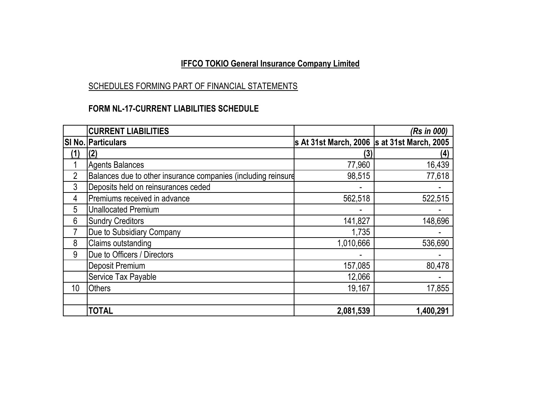# SCHEDULES FORMING PART OF FINANCIAL STATEMENTS

## **FORM NL-17-CURRENT LIABILITIES SCHEDULE**

|                | <b>CURRENT LIABILITIES</b>                                    |                                             | (Rs in 000) |
|----------------|---------------------------------------------------------------|---------------------------------------------|-------------|
|                | SI No. Particulars                                            | s At 31st March, 2006 s at 31st March, 2005 |             |
| (1)            | (2)                                                           | (3)                                         | (4)         |
|                | <b>Agents Balances</b>                                        | 77,960                                      | 16,439      |
| $\overline{2}$ | Balances due to other insurance companies (including reinsure | 98,515                                      | 77,618      |
| 3              | Deposits held on reinsurances ceded                           |                                             |             |
| 4              | Premiums received in advance                                  | 562,518                                     | 522,515     |
| 5              | <b>Unallocated Premium</b>                                    |                                             |             |
| 6              | <b>Sundry Creditors</b>                                       | 141,827                                     | 148,696     |
|                | Due to Subsidiary Company                                     | 1,735                                       |             |
| 8              | Claims outstanding                                            | 1,010,666                                   | 536,690     |
| 9              | Due to Officers / Directors                                   |                                             |             |
|                | Deposit Premium                                               | 157,085                                     | 80,478      |
|                | Service Tax Payable                                           | 12,066                                      |             |
| 10             | <b>Others</b>                                                 | 19,167                                      | 17,855      |
|                |                                                               |                                             |             |
|                | <b>TOTAL</b>                                                  | 2,081,539                                   | 1,400,291   |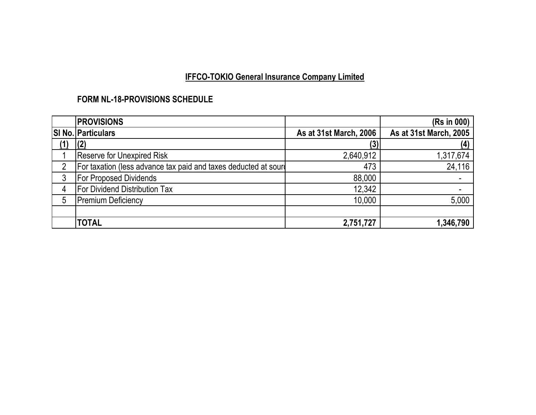## **FORM NL-18-PROVISIONS SCHEDULE**

|     | <b>PROVISIONS</b>                                               |                        | (Rs in 000)            |
|-----|-----------------------------------------------------------------|------------------------|------------------------|
|     | <b>SI No. Particulars</b>                                       | As at 31st March, 2006 | As at 31st March, 2005 |
| (1) |                                                                 |                        | (4)                    |
|     | <b>Reserve for Unexpired Risk</b>                               | 2,640,912              | 1,317,674              |
|     | For taxation (less advance tax paid and taxes deducted at sourd | 473                    | 24,116                 |
| 3   | <b>For Proposed Dividends</b>                                   | 88,000                 |                        |
| 4   | <b>For Dividend Distribution Tax</b>                            | 12,342                 |                        |
| 5   | <b>Premium Deficiency</b>                                       | 10,000                 | 5,000                  |
|     |                                                                 |                        |                        |
|     | <b>TOTAL</b>                                                    | 2,751,727              | 1,346,790              |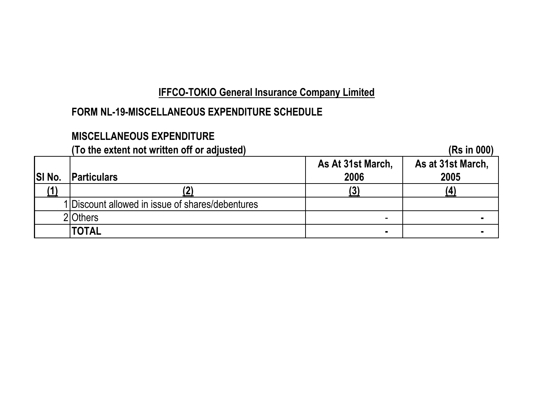# **FORM NL-19-MISCELLANEOUS EXPENDITURE SCHEDULE**

# **MISCELLANEOUS EXPENDITURE**

# **(To the extent not written off or adjusted) (Rs in 000)**

| <b>SI No.</b> | <b>IParticulars</b>                              | As At 31st March,<br>2006 | As at 31st March,<br>2005 |
|---------------|--------------------------------------------------|---------------------------|---------------------------|
|               |                                                  |                           |                           |
|               | 1 Discount allowed in issue of shares/debentures |                           |                           |
|               | 20thers                                          | -                         |                           |
|               | <b>TOTAL</b>                                     | $\blacksquare$            |                           |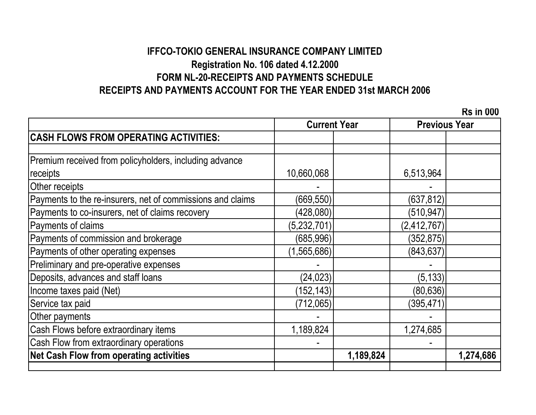# **IFFCO-TOKIO GENERAL INSURANCE COMPANY LIMITED Registration No. 106 dated 4.12.2000 RECEIPTS AND PAYMENTS ACCOUNT FOR THE YEAR ENDED 31st MARCH 2006 FORM NL-20-RECEIPTS AND PAYMENTS SCHEDULE**

 **Rs in 000**

|                                                            | <b>Current Year</b> |           | <b>Previous Year</b> |           |
|------------------------------------------------------------|---------------------|-----------|----------------------|-----------|
| <b>CASH FLOWS FROM OPERATING ACTIVITIES:</b>               |                     |           |                      |           |
|                                                            |                     |           |                      |           |
| Premium received from policyholders, including advance     |                     |           |                      |           |
| receipts                                                   | 10,660,068          |           | 6,513,964            |           |
| Other receipts                                             |                     |           |                      |           |
| Payments to the re-insurers, net of commissions and claims | (669, 550)          |           | (637, 812)           |           |
| Payments to co-insurers, net of claims recovery            | (428,080)           |           | (510, 947)           |           |
| Payments of claims                                         | (5,232,701)         |           | (2, 412, 767)        |           |
| Payments of commission and brokerage                       | (685, 996)          |           | (352, 875)           |           |
| Payments of other operating expenses                       | (1, 565, 686)       |           | (843, 637)           |           |
| Preliminary and pre-operative expenses                     |                     |           |                      |           |
| Deposits, advances and staff loans                         | (24, 023)           |           | (5, 133)             |           |
| Income taxes paid (Net)                                    | (152, 143)          |           | (80, 636)            |           |
| Service tax paid                                           | (712,065)           |           | (395, 471)           |           |
| Other payments                                             |                     |           |                      |           |
| Cash Flows before extraordinary items                      | 1,189,824           |           | 1,274,685            |           |
| Cash Flow from extraordinary operations                    |                     |           |                      |           |
| <b>Net Cash Flow from operating activities</b>             |                     | 1,189,824 |                      | 1,274,686 |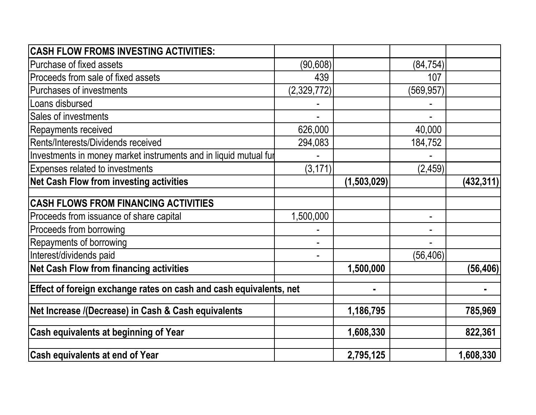| <b>CASH FLOW FROMS INVESTING ACTIVITIES:</b>                       |             |             |                |            |
|--------------------------------------------------------------------|-------------|-------------|----------------|------------|
| Purchase of fixed assets                                           | (90, 608)   |             | (84, 754)      |            |
| Proceeds from sale of fixed assets                                 | 439         |             | 107            |            |
| Purchases of investments                                           | (2,329,772) |             | (569, 957)     |            |
| Loans disbursed                                                    |             |             |                |            |
| Sales of investments                                               |             |             |                |            |
| Repayments received                                                | 626,000     |             | 40,000         |            |
| Rents/Interests/Dividends received                                 | 294,083     |             | 184,752        |            |
| Investments in money market instruments and in liquid mutual fur   |             |             |                |            |
| Expenses related to investments                                    | (3, 171)    |             | (2, 459)       |            |
| <b>Net Cash Flow from investing activities</b>                     |             | (1,503,029) |                | (432, 311) |
| <b>CASH FLOWS FROM FINANCING ACTIVITIES</b>                        |             |             |                |            |
| Proceeds from issuance of share capital                            | 1,500,000   |             | $\blacksquare$ |            |
| Proceeds from borrowing                                            |             |             |                |            |
| Repayments of borrowing                                            |             |             |                |            |
| Interest/dividends paid                                            |             |             | (56, 406)      |            |
| <b>Net Cash Flow from financing activities</b>                     |             | 1,500,000   |                | (56, 406)  |
| Effect of foreign exchange rates on cash and cash equivalents, net |             |             |                |            |
| Net Increase /(Decrease) in Cash & Cash equivalents                |             | 1,186,795   |                | 785,969    |
| <b>Cash equivalents at beginning of Year</b>                       |             | 1,608,330   |                | 822,361    |
| <b>Cash equivalents at end of Year</b>                             |             | 2,795,125   |                | 1,608,330  |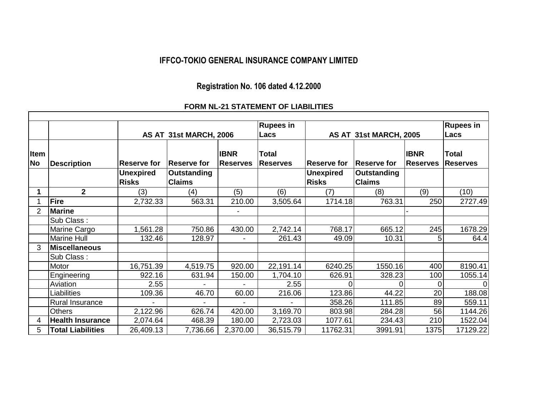## **IFFCO-TOKIO GENERAL INSURANCE COMPANY LIMITED**

# **Registration No. 106 dated 4.12.2000**

## **FORM NL-21 STATEMENT OF LIABILITIES**

|                   |                          |                    |                        |                                | <b>Rupees in</b>                |                     |                        |                                | <b>Rupees in</b>                |
|-------------------|--------------------------|--------------------|------------------------|--------------------------------|---------------------------------|---------------------|------------------------|--------------------------------|---------------------------------|
|                   |                          |                    | AS AT 31st MARCH, 2006 |                                | Lacs                            |                     | AS AT 31st MARCH, 2005 |                                | Lacs                            |
| Item<br><b>No</b> | <b>Description</b>       | <b>Reserve for</b> | <b>Reserve for</b>     | <b>IBNR</b><br><b>Reserves</b> | <b>Total</b><br><b>Reserves</b> | <b>IReserve for</b> | <b>Reserve for</b>     | <b>IBNR</b><br><b>Reserves</b> | <b>Total</b><br><b>Reserves</b> |
|                   |                          | <b>Unexpired</b>   | <b>Outstanding</b>     |                                |                                 | <b>Unexpired</b>    | <b>Outstanding</b>     |                                |                                 |
|                   |                          | <b>Risks</b>       | <b>Claims</b>          |                                |                                 | <b>Risks</b>        | <b>Claims</b>          |                                |                                 |
|                   | 2 <sup>1</sup>           | (3)                | (4)                    | (5)                            | (6)                             | (7)                 | (8)                    | (9)                            | (10)                            |
|                   | <b>Fire</b>              | 2,732.33           | 563.31                 | 210.00                         | 3,505.64                        | 1714.18             | 763.31                 | 250                            | 2727.49                         |
| 2                 | <b>Marine</b>            |                    |                        |                                |                                 |                     |                        |                                |                                 |
|                   | Sub Class:               |                    |                        |                                |                                 |                     |                        |                                |                                 |
|                   | Marine Cargo             | 1,561.28           | 750.86                 | 430.00                         | 2,742.14                        | 768.17              | 665.12                 | 245                            | 1678.29                         |
|                   | <b>Marine Hull</b>       | 132.46             | 128.97                 |                                | 261.43                          | 49.09               | 10.31                  | 5                              | 64.4                            |
| 3                 | <b>Miscellaneous</b>     |                    |                        |                                |                                 |                     |                        |                                |                                 |
|                   | Sub Class:               |                    |                        |                                |                                 |                     |                        |                                |                                 |
|                   | Motor                    | 16,751.39          | 4,519.75               | 920.00                         | 22,191.14                       | 6240.25             | 1550.16                | 400                            | 8190.41                         |
|                   | Engineering              | 922.16             | 631.94                 | 150.00                         | 1,704.10                        | 626.91              | 328.23                 | 100                            | 1055.14                         |
|                   | Aviation                 | 2.55               |                        |                                | 2.55                            |                     |                        |                                | 0                               |
|                   | Liabilities              | 109.36             | 46.70                  | 60.00                          | 216.06                          | 123.86              | 44.22                  | 20                             | 188.08                          |
|                   | <b>Rural Insurance</b>   |                    |                        | $\blacksquare$                 |                                 | 358.26              | 111.85                 | 89                             | 559.11                          |
|                   | <b>Others</b>            | 2,122.96           | 626.74                 | 420.00                         | 3,169.70                        | 803.98              | 284.28                 | 56                             | 1144.26                         |
| 4                 | <b>Health Insurance</b>  | 2,074.64           | 468.39                 | 180.00                         | 2,723.03                        | 1077.61             | 234.43                 | 210                            | 1522.04                         |
| 5                 | <b>Total Liabilities</b> | 26,409.13          | 7,736.66               | 2,370.00                       | 36,515.79                       | 11762.31            | 3991.91                | 1375                           | 17129.22                        |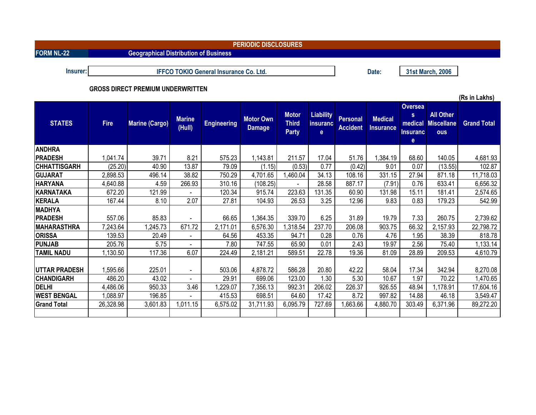| <b>PERIODIC DISCLOSURES</b> |                                          |                                              |                         |                                               |                                   |                                              |                                              |                             |                             |                                                                       |                                                     |                    |
|-----------------------------|------------------------------------------|----------------------------------------------|-------------------------|-----------------------------------------------|-----------------------------------|----------------------------------------------|----------------------------------------------|-----------------------------|-----------------------------|-----------------------------------------------------------------------|-----------------------------------------------------|--------------------|
| <b>FORM NL-22</b>           |                                          | <b>Geographical Distribution of Business</b> |                         |                                               |                                   |                                              |                                              |                             |                             |                                                                       |                                                     |                    |
|                             |                                          |                                              |                         |                                               |                                   |                                              |                                              |                             |                             |                                                                       |                                                     |                    |
| Insurer:                    |                                          |                                              |                         | <b>IFFCO TOKIO General Insurance Co. Ltd.</b> |                                   |                                              |                                              |                             | Date:                       |                                                                       | 31st March, 2006                                    |                    |
|                             | <b>GROSS DIRECT PREMIUM UNDERWRITTEN</b> |                                              |                         |                                               |                                   |                                              |                                              |                             |                             |                                                                       |                                                     |                    |
|                             |                                          |                                              |                         |                                               |                                   |                                              |                                              |                             |                             |                                                                       | (Rs in Lakhs)                                       |                    |
| <b>STATES</b>               | <b>Fire</b>                              | <b>Marine (Cargo)</b>                        | <b>Marine</b><br>(Hull) | <b>Engineering</b>                            | <b>Motor Own</b><br><b>Damage</b> | <b>Motor</b><br><b>Third</b><br><b>Party</b> | <b>Liability</b><br>insuranc<br>$\mathbf{e}$ | Personal<br><b>Accident</b> | <b>Medical</b><br>Insurance | Oversea<br>$\mathbf{s}$<br>medical<br><b>Insuranc</b><br>$\mathbf{e}$ | <b>All Other</b><br><b>Miscellane</b><br><b>ous</b> | <b>Grand Total</b> |
| <b>ANDHRA</b>               |                                          |                                              |                         |                                               |                                   |                                              |                                              |                             |                             |                                                                       |                                                     |                    |
| <b>PRADESH</b>              | 1,041.74                                 | 39.71                                        | 8.21                    | 575.23                                        | 1,143.81                          | 211.57                                       | 17.04                                        | 51.76                       | 1,384.19                    | 68.60                                                                 | 140.05                                              | 4,681.93           |
| <b>CHHATTISGARH</b>         | (25.20)                                  | 40.90                                        | 13.87                   | 79.09                                         | (1.15)                            | (0.53)                                       | 0.77                                         | (0.42)                      | 9.01                        | 0.07                                                                  | (13.55)                                             | 102.87             |
| <b>GUJARAT</b>              | 2,898.53                                 | 496.14                                       | 38.82                   | 750.29                                        | 4,701.65                          | 1,460.04                                     | 34.13                                        | 108.16                      | 331.15                      | 27.94                                                                 | 871.18                                              | 11,718.03          |
| <b>HARYANA</b>              | 4,640.88                                 | 4.59                                         | 266.93                  | 310.16                                        | (108.25)                          |                                              | 28.58                                        | 887.17                      | (7.91)                      | 0.76                                                                  | 633.41                                              | 6,656.32           |
| <b>KARNATAKA</b>            | 672.20                                   | 121.99                                       |                         | 120.34                                        | 915.74                            | 223.63                                       | 131.35                                       | 60.90                       | 131.98                      | 15.11                                                                 | 181.41                                              | 2,574.65           |
| <b>KERALA</b>               | 167.44                                   | 8.10                                         | 2.07                    | 27.81                                         | 104.93                            | 26.53                                        | 3.25                                         | 12.96                       | 9.83                        | 0.83                                                                  | 179.23                                              | 542.99             |
| <b>MADHYA</b>               |                                          |                                              |                         |                                               |                                   |                                              |                                              |                             |                             |                                                                       |                                                     |                    |
| <b>PRADESH</b>              | 557.06                                   | 85.83                                        |                         | 66.65                                         | 1,364.35                          | 339.70                                       | 6.25                                         | 31.89                       | 19.79                       | 7.33                                                                  | 260.75                                              | 2,739.62           |
| <b>MAHARASTHRA</b>          | 7,243.64                                 | 1,245.73                                     | 671.72                  | 2,171.01                                      | 6,576.30                          | 1,318.54                                     | 237.70                                       | 206.08                      | 903.75                      | 66.32                                                                 | 2,157.93                                            | 22,798.72          |
| <b>ORISSA</b>               | 139.53                                   | 20.49                                        |                         | 64.56                                         | 453.35                            | 94.71                                        | 0.28                                         | 0.76                        | 4.76                        | 1.95                                                                  | 38.39                                               | 818.78             |
| <b>PUNJAB</b>               | 205.76                                   | 5.75                                         | $\sim$                  | 7.80                                          | 747.55                            | 65.90                                        | 0.01                                         | 2.43                        | 19.97                       | 2.56                                                                  | 75.40                                               | 1,133.14           |
| <b>TAMIL NADU</b>           | 1,130.50                                 | 117.36                                       | 6.07                    | 224.49                                        | 2,181.21                          | 589.51                                       | 22.78                                        | 19.36                       | 81.09                       | 28.89                                                                 | 209.53                                              | 4,610.79           |
| <b> UTTAR PRADESH</b>       | 1,595.66                                 | 225.01                                       |                         | 503.06                                        | 4,878.72                          | 586.28                                       | 20.80                                        | 42.22                       | 58.04                       | 17.34                                                                 | 342.94                                              | 8,270.08           |

**CHANDIGARH** 486.20 43.02 - 29.91 699.06 123.00 1.30 5.30 10.67 1.97 70.22 1,470.65 **DELHI** 4,486.06 950.33 3.46 1,229.07 7,356.13 992.31 206.02 226.37 926.55 48.94 1,178.91 17,604.16 **WEST BENGAL** 1,088.97 196.85 - 415.53 698.51 64.60 17.42 8.72 997.82 14.88 46.18 3,549.47 **Grand Total** | 26,328.98 | 3,601.83 | 1,011.15 | 6,575.02 | 31,711.93 | 6,095.79 | 727.69 | 1,663.66 | 4,880.70 | 303.49 | 6,371.96 | 89,272.20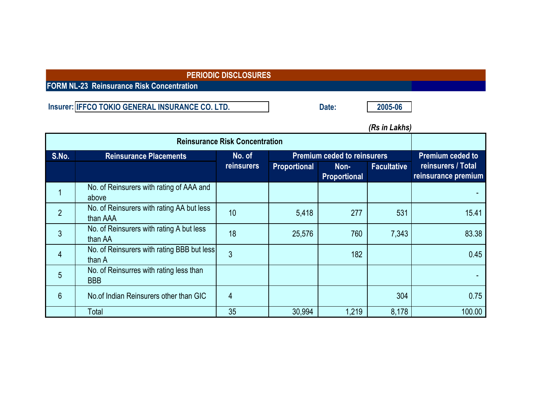**FORM NL-23 Reinsurance Risk Concentration**

**Insurer: Date: 2005-06 IFFCO TOKIO GENERAL INSURANCE CO. LTD.**

|                |                                                       |                                       |                     |                                    | שווחם ווו טרון     |                                           |
|----------------|-------------------------------------------------------|---------------------------------------|---------------------|------------------------------------|--------------------|-------------------------------------------|
|                |                                                       | <b>Reinsurance Risk Concentration</b> |                     |                                    |                    |                                           |
| S.No.          | <b>Reinsurance Placements</b>                         | No. of                                |                     | <b>Premium ceded to reinsurers</b> |                    | <b>Premium ceded to</b>                   |
|                |                                                       | <b>reinsurers</b>                     | <b>Proportional</b> | Non-<br><b>Proportional</b>        | <b>Facultative</b> | reinsurers / Total<br>reinsurance premium |
|                | No. of Reinsurers with rating of AAA and<br>above     |                                       |                     |                                    |                    |                                           |
| $\overline{2}$ | No. of Reinsurers with rating AA but less<br>than AAA | 10                                    | 5,418               | 277                                | 531                | 15.41                                     |
| 3              | No. of Reinsurers with rating A but less<br>than AA   | 18                                    | 25,576              | 760                                | 7,343              | 83.38                                     |
| 4              | No. of Reinsurers with rating BBB but less<br>than A  | 3                                     |                     | 182                                |                    | 0.45                                      |
| 5              | No. of Reinsurres with rating less than<br><b>BBB</b> |                                       |                     |                                    |                    |                                           |
| $6\phantom{1}$ | No. of Indian Reinsurers other than GIC               | 4                                     |                     |                                    | 304                | 0.75                                      |
|                | Total                                                 | 35                                    | 30,994              | 1,219                              | 8,178              | 100.00                                    |

*(Rs in Lakhs)*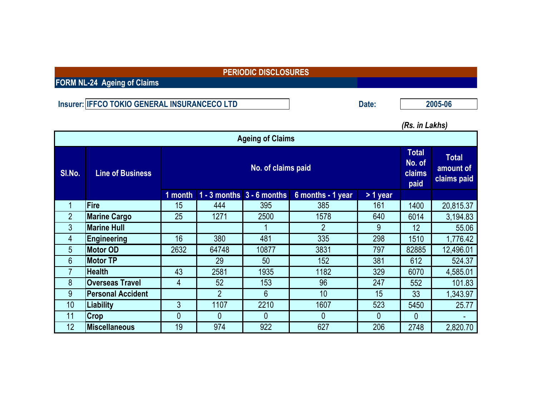**FORM NL-24 Ageing of Claims**

Insurer: IFFCO TOKIO GENERAL INSURANCECO LTD Date:

**2005-06**

*(Rs. in Lakhs)*

| <b>Ageing of Claims</b> |                          |         |                    |                               |                   |            |       |           |  |  |  |
|-------------------------|--------------------------|---------|--------------------|-------------------------------|-------------------|------------|-------|-----------|--|--|--|
| SI.No.                  | <b>Line of Business</b>  |         | No. of claims paid |                               |                   |            |       |           |  |  |  |
|                         |                          | 1 month |                    | $1 - 3$ months $3 - 6$ months | 6 months - 1 year | $> 1$ year |       |           |  |  |  |
| 1                       | Fire                     | 15      | 444                | 395                           | 385               | 161        | 1400  | 20,815.37 |  |  |  |
| $\overline{2}$          | <b>Marine Cargo</b>      | 25      | 1271               | 2500                          | 1578              | 640        | 6014  | 3,194.83  |  |  |  |
| 3                       | <b>Marine Hull</b>       |         |                    |                               | 2                 | 9          | 12    | 55.06     |  |  |  |
| 4                       | <b>Engineering</b>       | 16      | 380                | 481                           | 335               | 298        | 1510  | 1,776.42  |  |  |  |
| 5                       | <b>Motor OD</b>          | 2632    | 64748              | 10877                         | 3831              | 797        | 82885 | 12,496.01 |  |  |  |
| 6                       | <b>Motor TP</b>          |         | 29                 | 50                            | 152               | 381        | 612   | 524.37    |  |  |  |
| 7                       | <b>Health</b>            | 43      | 2581               | 1935                          | 1182              | 329        | 6070  | 4,585.01  |  |  |  |
| 8                       | <b>Overseas Travel</b>   | 4       | 52                 | 153                           | 96                | 247        | 552   | 101.83    |  |  |  |
| 9                       | <b>Personal Accident</b> |         | $\overline{2}$     | 6                             | 10                | 15         | 33    | 1,343.97  |  |  |  |
| 10                      | <b>Liability</b>         | 3       | 1107               | 2210                          | 1607              | 523        | 5450  | 25.77     |  |  |  |
| 11                      | <b>Crop</b>              | 0       | 0                  | 0                             | $\overline{0}$    | 0          | 0     |           |  |  |  |
| 12                      | Miscellaneous            | 19      | 974                | 922                           | 627               | 206        | 2748  | 2,820.70  |  |  |  |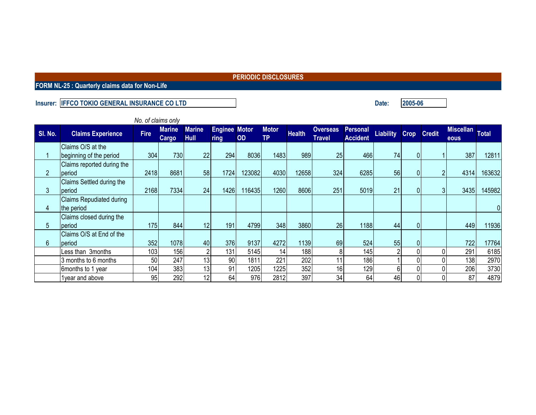**FORM NL-25 : Quarterly claims data for Non-Life**

### **Insurer: Date: IFFCO TOKIO GENERAL INSURANCE CO LTD**

*No. of claims only* **Sl. No. Claims Experience Fire Marine Cargo Marine Hull Enginee Motor ring OD Motor TP Health Overseas Personal Travel Accident Liability Crop Credit Miscellan eous Total** 1 Claims O/S at the |beginning of the period | 304| 730| 22| 294| 8036| 1483| 989| 25| 466| 74| 0| 1| 387| 12811 2 Claims reported during the period | 2418| 8681| 58| 1724| 123082| 4030| 12658| 324| 6285| 56| 0| 2| 4314| 163632 3 Claims Settled during the period 2168 7334 24 1426 116435 1260 8606 251 5019 21 0 3 3435 145982 4 Claims Repudiated during the period | | | | | | | | | | | 0 5 Claims closed during the period | 175| 844| 12| 191| 4799| 348| 3860| 26| 1188| 44| 0| | 449| 11936 6 Claims O/S at End of the period 352 1078 40 376 9137 4272 1139 69 524 55 0 722 17764 Less than 3months 103 156 2 131 5145 14 188 8 145 2 0 0 291 6185<br>3 months to 6 months 50 247 13 90 1811 221 202 11 186 1 0 0 138 2970 3 months to 6 months 50 247 13 90 1811 221 202 11 186 1 0 0 138 2970 6months to 1 year | 104| 383| 13| 91| 1205| 1225| 352| 16| 129| 6| 0| 0| 206| 3730 1year and above | 95| 292| 12| 64| 397| 34| 64| 46| 0| 0| 87| 4879

**2005-06**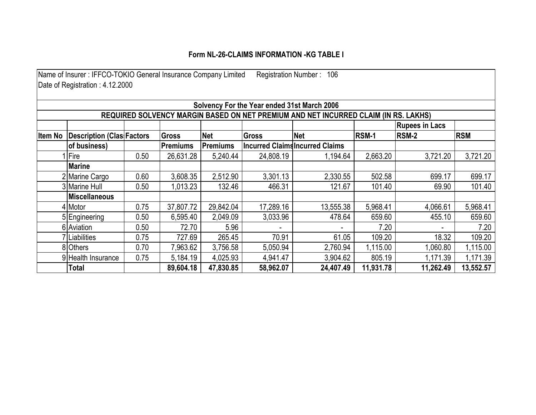## **Form NL-26-CLAIMS INFORMATION -KG TABLE I**

| Name of Insurer: IFFCO-TOKIO General Insurance Company Limited<br>Registration Number: 106 |                                             |      |                 |            |              |                                                                                     |              |                       |            |  |  |
|--------------------------------------------------------------------------------------------|---------------------------------------------|------|-----------------|------------|--------------|-------------------------------------------------------------------------------------|--------------|-----------------------|------------|--|--|
|                                                                                            | Date of Registration: 4.12.2000             |      |                 |            |              |                                                                                     |              |                       |            |  |  |
|                                                                                            |                                             |      |                 |            |              |                                                                                     |              |                       |            |  |  |
|                                                                                            | Solvency For the Year ended 31st March 2006 |      |                 |            |              |                                                                                     |              |                       |            |  |  |
|                                                                                            |                                             |      |                 |            |              | REQUIRED SOLVENCY MARGIN BASED ON NET PREMIUM AND NET INCURRED CLAIM (IN RS. LAKHS) |              |                       |            |  |  |
|                                                                                            |                                             |      |                 |            |              |                                                                                     |              | <b>Rupees in Lacs</b> |            |  |  |
| <b>Item No</b>                                                                             | <b>Description (Clas Factors</b>            |      | Gross           | <b>Net</b> | <b>Gross</b> | <b>Net</b>                                                                          | <b>RSM-1</b> | <b>RSM-2</b>          | <b>RSM</b> |  |  |
|                                                                                            | of business)                                |      | <b>Premiums</b> | Premiums   |              | <b>Incurred Claims Incurred Claims</b>                                              |              |                       |            |  |  |
|                                                                                            | Fire                                        | 0.50 | 26,631.28       | 5,240.44   | 24,808.19    | 1,194.64                                                                            | 2,663.20     | 3,721.20              | 3,721.20   |  |  |
|                                                                                            | <b>Marine</b>                               |      |                 |            |              |                                                                                     |              |                       |            |  |  |
|                                                                                            | 2 Marine Cargo                              | 0.60 | 3,608.35        | 2,512.90   | 3,301.13     | 2,330.55                                                                            | 502.58       | 699.17                | 699.17     |  |  |
|                                                                                            | 3 Marine Hull                               | 0.50 | 1,013.23        | 132.46     | 466.31       | 121.67                                                                              | 101.40       | 69.90                 | 101.40     |  |  |
|                                                                                            | <b>Miscellaneous</b>                        |      |                 |            |              |                                                                                     |              |                       |            |  |  |
|                                                                                            | 4 Motor                                     | 0.75 | 37,807.72       | 29,842.04  | 17,289.16    | 13,555.38                                                                           | 5,968.41     | 4,066.61              | 5,968.41   |  |  |
|                                                                                            | 5 Engineering                               | 0.50 | 6,595.40        | 2,049.09   | 3,033.96     | 478.64                                                                              | 659.60       | 455.10                | 659.60     |  |  |
|                                                                                            | 6 Aviation                                  | 0.50 | 72.70           | 5.96       |              |                                                                                     | 7.20         |                       | 7.20       |  |  |
|                                                                                            | 7 Liabilities                               | 0.75 | 727.69          | 265.45     | 70.91        | 61.05                                                                               | 109.20       | 18.32                 | 109.20     |  |  |
|                                                                                            | 8 Others                                    | 0.70 | 7,963.62        | 3,756.58   | 5,050.94     | 2,760.94                                                                            | 1,115.00     | 1,060.80              | 1,115.00   |  |  |
|                                                                                            | 9 Health Insurance                          | 0.75 | 5,184.19        | 4,025.93   | 4,941.47     | 3,904.62                                                                            | 805.19       | 1,171.39              | 1,171.39   |  |  |
|                                                                                            | Total                                       |      | 89,604.18       | 47,830.85  | 58,962.07    | 24,407.49                                                                           | 11,931.78    | 11,262.49             | 13,552.57  |  |  |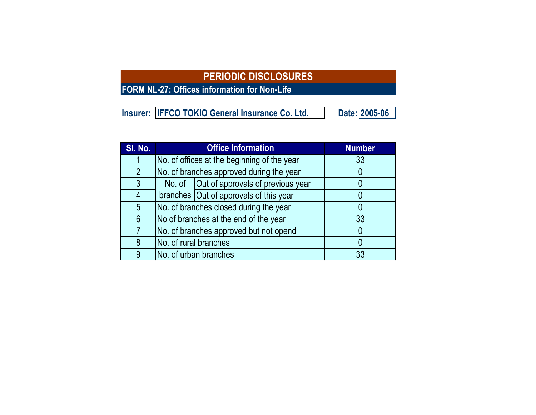**FORM NL-27: Offices information for Non-Life**

| Insurer: IFFCO TOKIO General Insurance Co. Ltd. | Date: 2005-06 |
|-------------------------------------------------|---------------|
|-------------------------------------------------|---------------|

| SI. No.        |                       | <b>Office Information</b>                   | <b>Number</b> |
|----------------|-----------------------|---------------------------------------------|---------------|
|                |                       | No. of offices at the beginning of the year | 33            |
| $\overline{2}$ |                       | No. of branches approved during the year    |               |
| 3              |                       | No. of   Out of approvals of previous year  |               |
| 4              |                       | branches Out of approvals of this year      |               |
| 5              |                       | No. of branches closed during the year      |               |
| 6              |                       | No of branches at the end of the year       | 33            |
|                |                       | No. of branches approved but not opend      |               |
| 8              | No. of rural branches |                                             |               |
| 9              |                       | No. of urban branches                       | 33            |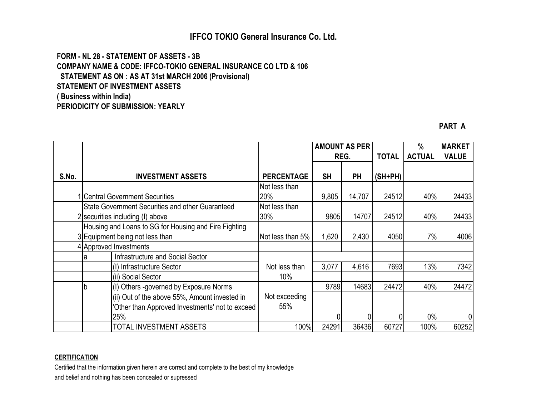## **IFFCO TOKIO General Insurance Co. Ltd.**

**FORM - NL 28 - STATEMENT OF ASSETS - 3B COMPANY NAME & CODE: IFFCO-TOKIO GENERAL INSURANCE CO LTD & 106 STATEMENT AS ON : AS AT 31st MARCH 2006 (Provisional) STATEMENT OF INVESTMENT ASSETS ( Business within India) PERIODICITY OF SUBMISSION: YEARLY**

**PART A**

|       |   |                                                                                          |                      | <b>AMOUNT AS PER</b> |           |              | %             | <b>MARKET</b> |
|-------|---|------------------------------------------------------------------------------------------|----------------------|----------------------|-----------|--------------|---------------|---------------|
|       |   |                                                                                          |                      |                      | REG.      | <b>TOTAL</b> | <b>ACTUAL</b> | <b>VALUE</b>  |
| S.No. |   | <b>INVESTMENT ASSETS</b>                                                                 | <b>PERCENTAGE</b>    | <b>SH</b>            | <b>PH</b> | (SH+PH)      |               |               |
|       |   | <b>Central Government Securities</b>                                                     | Not less than<br>20% | 9,805                | 14,707    | 24512        | 40%           | 24433         |
|       |   | State Government Securities and other Guaranteed<br>2 securities including (I) above     | Not less than<br>30% | 9805                 | 14707     | 24512        | 40%           | 24433         |
|       |   | Housing and Loans to SG for Housing and Fire Fighting<br>3 Equipment being not less than | Not less than 5%     | 1,620                | 2,430     | 4050         | 7%            | 4006          |
|       |   | 4 Approved Investments                                                                   |                      |                      |           |              |               |               |
|       | а | <b>Infrastructure and Social Sector</b>                                                  |                      |                      |           |              |               |               |
|       |   | (I) Infrastructure Sector                                                                | Not less than        | 3,077                | 4,616     | 7693         | 13%           | 7342          |
|       |   | (ii) Social Sector                                                                       | 10%                  |                      |           |              |               |               |
|       |   | (I) Others -governed by Exposure Norms                                                   |                      | 9789                 | 14683     | 24472        | 40%           | 24472         |
|       |   | (ii) Out of the above 55%, Amount invested in                                            | Not exceeding        |                      |           |              |               |               |
|       |   | 'Other than Approved Investments' not to exceed                                          | 55%                  |                      |           |              |               |               |
|       |   | 25%                                                                                      |                      |                      |           |              | $0\%$         | 0             |
|       |   | TOTAL INVESTMENT ASSETS                                                                  | 100%                 | 24291                | 36436     | 60727        | 100%          | 60252         |

## **CERTIFICATION**

Certified that the information given herein are correct and complete to the best of my knowledge and belief and nothing has been concealed or supressed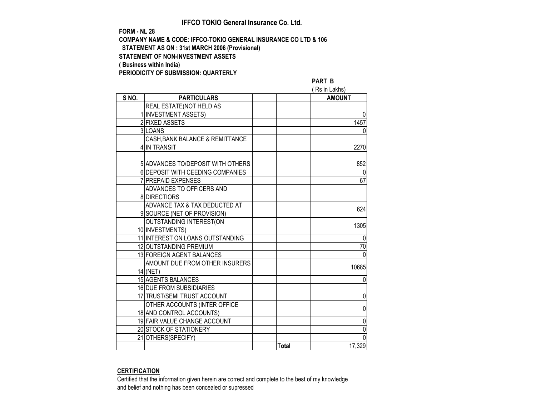### **IFFCO TOKIO General Insurance Co. Ltd.**

#### **FORM - NL 28 COMPANY NAME & CODE: IFFCO-TOKIO GENERAL INSURANCE CO LTD & 106 STATEMENT AS ON : 31st MARCH 2006 (Provisional) STATEMENT OF NON-INVESTMENT ASSETS ( Business within India) PERIODICITY OF SUBMISSION: QUARTERLY**

#### **PART B**

|      |                                   |              | Rs in Lakhs)  |
|------|-----------------------------------|--------------|---------------|
| SNO. | <b>PARTICULARS</b>                |              | <b>AMOUNT</b> |
|      | REAL ESTATE(NOT HELD AS           |              |               |
|      | 1 INVESTMENT ASSETS)              |              |               |
|      | 2 FIXED ASSETS                    |              | 1457          |
|      | 3 LOANS                           |              | $\Omega$      |
|      | CASH, BANK BALANCE & REMITTANCE   |              |               |
|      | 4 IN TRANSIT                      |              | 2270          |
|      |                                   |              |               |
|      | 5 ADVANCES TO/DEPOSIT WITH OTHERS |              | 852           |
|      | 6 DEPOSIT WITH CEEDING COMPANIES  |              | $\Omega$      |
|      | 7 PREPAID EXPENSES                |              | 67            |
|      | ADVANCES TO OFFICERS AND          |              |               |
|      | 8 DIRECTIORS                      |              |               |
|      | ADVANCE TAX & TAX DEDUCTED AT     |              | 624           |
|      | 9 SOURCE (NET OF PROVISION)       |              |               |
|      | OUTSTANDING INTEREST(ON           |              | 1305          |
|      | 10 INVESTMENTS)                   |              |               |
|      | 11 INTEREST ON LOANS OUTSTANDING  |              | 0             |
|      | 12 OUTSTANDING PREMIUM            |              | 70            |
|      | 13 FOREIGN AGENT BALANCES         |              | $\mathbf 0$   |
|      | AMOUNT DUE FROM OTHER INSURERS    |              | 10685         |
|      | 14 (NET)                          |              |               |
|      | 15 AGENTS BALANCES                |              | 0             |
|      | 16 DUE FROM SUBSIDIARIES          |              |               |
|      | 17 TRUST/SEMI TRUST ACCOUNT       |              | 0             |
|      | OTHER ACCOUNTS (INTER OFFICE      |              | 0             |
|      | 18 AND CONTROL ACCOUNTS)          |              |               |
|      | 19 FAIR VALUE CHANGE ACCOUNT      |              | 0             |
|      | 20 STOCK OF STATIONERY            |              | $\mathbf 0$   |
|      | 21 OTHERS (SPECIFY)               |              | 0             |
|      |                                   | <b>Total</b> | 17,329        |

### **CERTIFICATION**

Certified that the information given herein are correct and complete to the best of my knowledge and belief and nothing has been concealed or supressed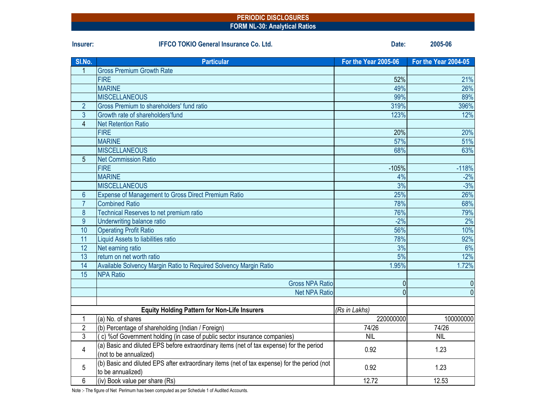#### **PERIODIC DISCLOSURES FORM NL-30: Analytical Ratios**

| Insurer:       | <b>IFFCO TOKIO General Insurance Co. Ltd.</b>                                                                     | Date:                      | 2005-06                     |
|----------------|-------------------------------------------------------------------------------------------------------------------|----------------------------|-----------------------------|
| SI.No.         | <b>Particular</b>                                                                                                 | For the Year 2005-06       | <b>For the Year 2004-05</b> |
| $\mathbf{1}$   | <b>Gross Premium Growth Rate</b>                                                                                  |                            |                             |
|                | <b>FIRE</b>                                                                                                       | 52%                        | 21%                         |
|                | <b>MARINE</b>                                                                                                     | 49%                        | 26%                         |
|                | <b>MISCELLANEOUS</b>                                                                                              | 99%                        | 89%                         |
| $\overline{2}$ | Gross Premium to shareholders' fund ratio                                                                         | 319%                       | 396%                        |
| 3              | Growth rate of shareholders'fund                                                                                  | 123%                       | 12%                         |
| $\overline{4}$ | <b>Net Retention Ratio</b>                                                                                        |                            |                             |
|                | <b>FIRE</b>                                                                                                       | 20%                        | 20%                         |
|                | <b>MARINE</b>                                                                                                     | 57%                        | 51%                         |
|                | <b>MISCELLANEOUS</b>                                                                                              | 68%                        | 63%                         |
| 5              | <b>Net Commission Ratio</b>                                                                                       |                            |                             |
|                | <b>FIRE</b>                                                                                                       | $-105%$                    | $-118%$                     |
|                | <b>MARINE</b>                                                                                                     | 4%                         | $-2%$                       |
|                | <b>MISCELLANEOUS</b>                                                                                              | 3%                         | $-3%$                       |
| $6\phantom{1}$ | Expense of Management to Gross Direct Premium Ratio                                                               | 25%                        | 26%                         |
| $\overline{7}$ | <b>Combined Ratio</b>                                                                                             | 78%                        | 68%                         |
| 8              | Technical Reserves to net premium ratio                                                                           | 76%                        | 79%                         |
| 9              | Underwriting balance ratio                                                                                        | $-2%$                      | 2%                          |
| 10             | <b>Operating Profit Ratio</b>                                                                                     | 56%                        | 10%                         |
| 11             | Liquid Assets to liabilities ratio                                                                                | 78%                        | 92%                         |
| 12             | Net earning ratio                                                                                                 | 3%                         | 6%                          |
| 13             | return on net worth ratio                                                                                         | 5%                         | 12%                         |
| 14             | Available Solvency Margin Ratio to Required Solvency Margin Ratio                                                 | 1.95%                      | 1.72%                       |
| 15             | <b>NPA Ratio</b>                                                                                                  |                            |                             |
|                | <b>Gross NPA Ratio</b>                                                                                            | $\mathbf{0}$               | $\mathbf{0}$                |
|                | <b>Net NPA Ratio</b>                                                                                              | $\Omega$                   | $\overline{0}$              |
|                |                                                                                                                   |                            |                             |
| $\mathbf{1}$   | <b>Equity Holding Pattern for Non-Life Insurers</b><br>(a) No. of shares                                          | (Rs in Lakhs)<br>220000000 | 100000000                   |
| $\overline{2}$ | (b) Percentage of shareholding (Indian / Foreign)                                                                 | 74/26                      | 74/26                       |
| 3              | (c) % of Government holding (in case of public sector insurance companies)                                        | <b>NIL</b>                 | <b>NIL</b>                  |
|                | (a) Basic and diluted EPS before extraordinary items (net of tax expense) for the period                          |                            |                             |
| 4              | (not to be annualized)                                                                                            | 0.92                       | 1.23                        |
| 5              | (b) Basic and diluted EPS after extraordinary items (net of tax expense) for the period (not<br>to be annualized) | 0.92                       | 1.23                        |
| 6              | (iv) Book value per share (Rs)                                                                                    | 12.72                      | 12.53                       |

Note :- The figure of Net Perimum has been computed as per Schedule 1 of Audited Accounts.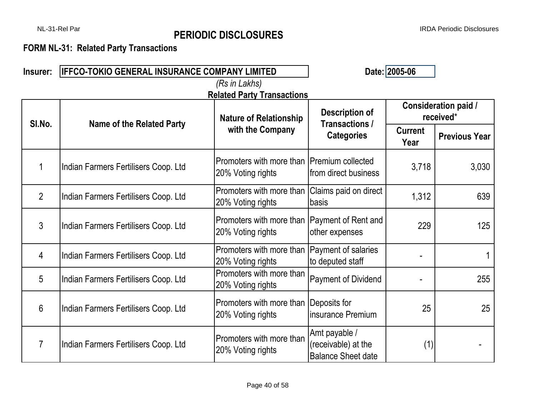# NL-31-Rel Par IRDA Periodic Disclosures **PERIODIC DISCLOSURES**

# **FORM NL-31: Related Party Transactions**

| Insurer:       | <b>IFFCO-TOKIO GENERAL INSURANCE COMPANY LIMITED</b> | Date: 2005-06                                                      |                                                                   |                        |                                   |
|----------------|------------------------------------------------------|--------------------------------------------------------------------|-------------------------------------------------------------------|------------------------|-----------------------------------|
|                |                                                      | (Rs in Lakhs)                                                      |                                                                   |                        |                                   |
|                |                                                      | <b>Related Party Transactions</b><br><b>Nature of Relationship</b> | <b>Description of</b>                                             |                        | Consideration paid /<br>received* |
| SI.No.         | <b>Name of the Related Party</b>                     | with the Company                                                   | Transactions /<br><b>Categories</b>                               | <b>Current</b><br>Year | <b>Previous Year</b>              |
| 1              | Indian Farmers Fertilisers Coop. Ltd                 | Promoters with more than IPremium collected<br>20% Voting rights   | from direct business                                              | 3,718                  | 3,030                             |
| $\overline{2}$ | Indian Farmers Fertilisers Coop. Ltd                 | Promoters with more than<br>20% Voting rights                      | Claims paid on direct<br>basis                                    | 1,312                  | 639                               |
| 3              | Indian Farmers Fertilisers Coop. Ltd                 | Promoters with more than<br>20% Voting rights                      | Payment of Rent and<br>other expenses                             | 229                    | 125                               |
| 4              | Indian Farmers Fertilisers Coop. Ltd                 | Promoters with more than<br>20% Voting rights                      | Payment of salaries<br>to deputed staff                           |                        |                                   |
| 5              | Indian Farmers Fertilisers Coop. Ltd                 | Promoters with more than<br>20% Voting rights                      | <b>Payment of Dividend</b>                                        |                        | 255                               |
| $6\phantom{1}$ | Indian Farmers Fertilisers Coop. Ltd                 | Promoters with more than<br>20% Voting rights                      | Deposits for<br>insurance Premium                                 | 25                     | 25                                |
| $\overline{7}$ | Indian Farmers Fertilisers Coop. Ltd                 | Promoters with more than<br>20% Voting rights                      | Amt payable /<br>(receivable) at the<br><b>Balance Sheet date</b> | (1)                    |                                   |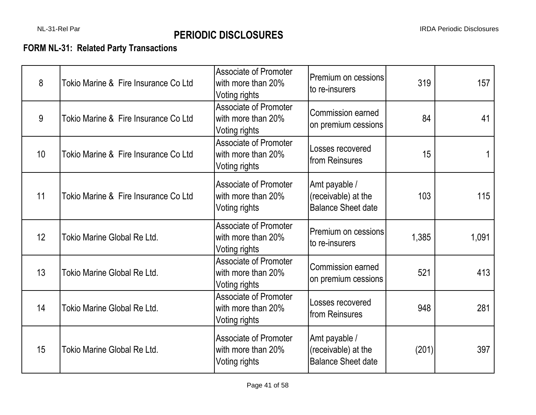# **FORM NL-31: Related Party Transactions**

| 8  | Tokio Marine & Fire Insurance Co Ltd | <b>Associate of Promoter</b><br>with more than 20%<br>Voting rights | Premium on cessions<br>to re-insurers                             | 319   | 157   |
|----|--------------------------------------|---------------------------------------------------------------------|-------------------------------------------------------------------|-------|-------|
| 9  | Tokio Marine & Fire Insurance Co Ltd | <b>Associate of Promoter</b><br>with more than 20%<br>Voting rights | <b>Commission earned</b><br>on premium cessions                   | 84    | 41    |
| 10 | Tokio Marine & Fire Insurance Co Ltd | <b>Associate of Promoter</b><br>with more than 20%<br>Voting rights | Losses recovered<br>from Reinsures                                | 15    |       |
| 11 | Tokio Marine & Fire Insurance Co Ltd | <b>Associate of Promoter</b><br>with more than 20%<br>Voting rights | Amt payable /<br>(receivable) at the<br><b>Balance Sheet date</b> | 103   | 115   |
| 12 | Tokio Marine Global Re Ltd.          | <b>Associate of Promoter</b><br>with more than 20%<br>Voting rights | Premium on cessions<br>to re-insurers                             | 1,385 | 1,091 |
| 13 | <b>Tokio Marine Global Re Ltd.</b>   | <b>Associate of Promoter</b><br>with more than 20%<br>Voting rights | <b>Commission earned</b><br>on premium cessions                   | 521   | 413   |
| 14 | Tokio Marine Global Re Ltd.          | <b>Associate of Promoter</b><br>with more than 20%<br>Voting rights | Losses recovered<br><b>Ifrom Reinsures</b>                        | 948   | 281   |
| 15 | Tokio Marine Global Re Ltd.          | <b>Associate of Promoter</b><br>with more than 20%<br>Voting rights | Amt payable /<br>(receivable) at the<br><b>Balance Sheet date</b> | (201) | 397   |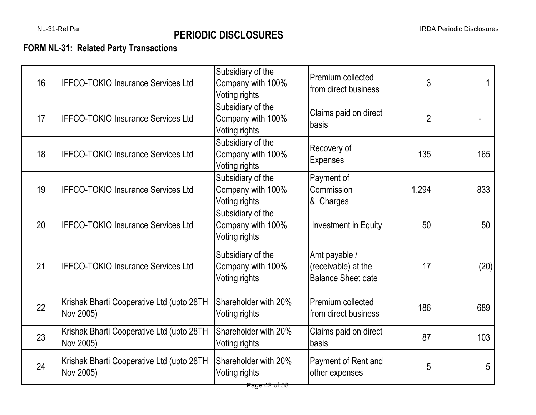# **FORM NL-31: Related Party Transactions**

| 16 | <b>IFFCO-TOKIO Insurance Services Ltd</b>              | Subsidiary of the<br>Company with 100%<br>Voting rights | Premium collected<br>from direct business                         | 3              | 1    |
|----|--------------------------------------------------------|---------------------------------------------------------|-------------------------------------------------------------------|----------------|------|
| 17 | <b>IFFCO-TOKIO Insurance Services Ltd</b>              | Subsidiary of the<br>Company with 100%<br>Voting rights | Claims paid on direct<br>basis                                    | $\overline{2}$ |      |
| 18 | <b>IFFCO-TOKIO Insurance Services Ltd</b>              | Subsidiary of the<br>Company with 100%<br>Voting rights | Recovery of<br><b>Expenses</b>                                    | 135            | 165  |
| 19 | <b>IFFCO-TOKIO Insurance Services Ltd</b>              | Subsidiary of the<br>Company with 100%<br>Voting rights | Payment of<br>Commission<br>& Charges                             | 1,294          | 833  |
| 20 | <b>IFFCO-TOKIO Insurance Services Ltd</b>              | Subsidiary of the<br>Company with 100%<br>Voting rights | <b>Investment in Equity</b>                                       | 50             | 50   |
| 21 | <b>IFFCO-TOKIO Insurance Services Ltd</b>              | Subsidiary of the<br>Company with 100%<br>Voting rights | Amt payable /<br>(receivable) at the<br><b>Balance Sheet date</b> | 17             | (20) |
| 22 | Krishak Bharti Cooperative Ltd (upto 28TH<br>Nov 2005) | Shareholder with 20%<br>Voting rights                   | Premium collected<br>from direct business                         | 186            | 689  |
| 23 | Krishak Bharti Cooperative Ltd (upto 28TH<br>Nov 2005) | Shareholder with 20%<br>Voting rights                   | Claims paid on direct<br>basis                                    | 87             | 103  |
| 24 | Krishak Bharti Cooperative Ltd (upto 28TH<br>Nov 2005) | Shareholder with 20%<br>Voting rights<br>Page 42 of 58  | Payment of Rent and<br>other expenses                             | 5              | 5    |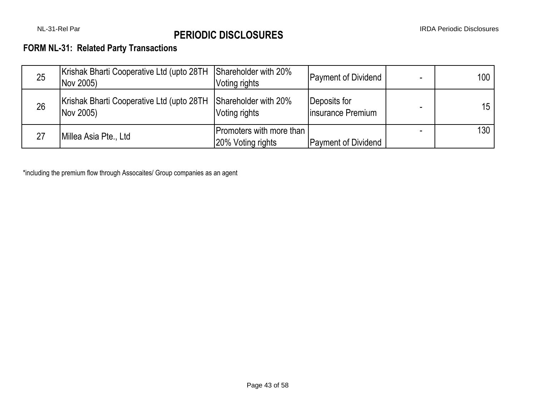# **FORM NL-31: Related Party Transactions**

| 25 | Krishak Bharti Cooperative Ltd (upto 28TH<br>Nov 2005) | Shareholder with 20%<br>Voting rights         | <b>Payment of Dividend</b>        | 100             |
|----|--------------------------------------------------------|-----------------------------------------------|-----------------------------------|-----------------|
| 26 | Krishak Bharti Cooperative Ltd (upto 28TH<br>Nov 2005) | Shareholder with 20%<br>Voting rights         | Deposits for<br>Insurance Premium | 15 <sup>1</sup> |
| 27 | Millea Asia Pte., Ltd                                  | Promoters with more than<br>20% Voting rights | <b>Payment of Dividend</b>        | 130             |

\*including the premium flow through Assocaites/ Group companies as an agent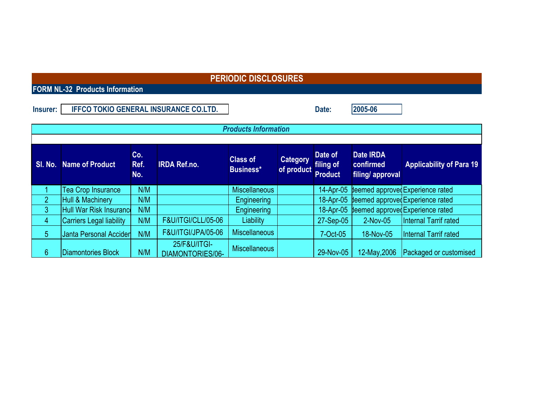**FORM NL-32 Products Information**

| <b>Insurer:</b> | <b>IFFCO TOKIO GENERAL INSURANCE CO.LTD.</b> | Date | 2005-06 |
|-----------------|----------------------------------------------|------|---------|
|-----------------|----------------------------------------------|------|---------|

|                 | <b>Products Information</b>     |                    |                                  |                                     |                               |                                        |                                            |                                            |  |  |
|-----------------|---------------------------------|--------------------|----------------------------------|-------------------------------------|-------------------------------|----------------------------------------|--------------------------------------------|--------------------------------------------|--|--|
|                 |                                 |                    |                                  |                                     |                               |                                        |                                            |                                            |  |  |
| SI. No.         | <b>Name of Product</b>          | Co.<br>Ref.<br>No. | <b>IRDA Ref.no.</b>              | <b>Class of</b><br><b>Business*</b> | <b>Category</b><br>of product | Date of<br>filing of<br><b>Product</b> | Date IRDA<br>confirmed<br>filing/ approval | <b>Applicability of Para 19</b>            |  |  |
|                 | <b>Tea Crop Insurance</b>       | N/M                |                                  | <b>Miscellaneous</b>                |                               |                                        |                                            | 14-Apr-05 deemed approved Experience rated |  |  |
| $\overline{2}$  | Hull & Machinery                | N/M                |                                  | Engineering                         |                               |                                        |                                            | 18-Apr-05 deemed approved Experience rated |  |  |
| 3               | Hull War Risk Insurance         | N/M                |                                  | Engineering                         |                               |                                        |                                            | 18-Apr-05 deemed approved Experience rated |  |  |
| 4               | <b>Carriers Legal liability</b> | N/M                | <b>F&amp;U/ITGI/CLL/05-06</b>    | Liability                           |                               | 27-Sep-05                              | 2-Nov-05                                   | <b>Internal Tarrif rated</b>               |  |  |
| 5               | Janta Personal Accider          | N/M                | <b>F&amp;U/ITGI/JPA/05-06</b>    | <b>Miscellaneous</b>                |                               | 7-Oct-05                               | 18-Nov-05                                  | <b>Internal Tarrif rated</b>               |  |  |
| $6\phantom{1}6$ | Diamontories Block              | N/M                | 25/F&U/ITGI-<br>DIAMONTORIES/06- | <b>Miscellaneous</b>                |                               | 29-Nov-05                              | 12-May, 2006                               | Packaged or customised                     |  |  |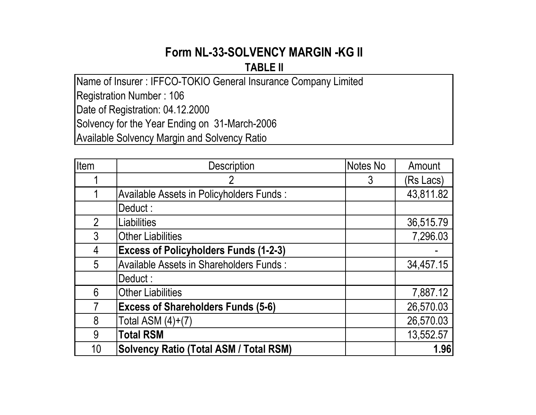# **Form NL-33-SOLVENCY MARGIN -KG II TABLE II**

Name of Insurer : IFFCO-TOKIO General Insurance Company Limited Registration Number : 106 Date of Registration: 04.12.2000 Solvency for the Year Ending on 31-March-2006 Available Solvency Margin and Solvency Ratio

| Item           | <b>Description</b>                             | Notes No | Amount    |
|----------------|------------------------------------------------|----------|-----------|
|                |                                                | 3        | (Rs Lacs) |
|                | Available Assets in Policyholders Funds:       |          | 43,811.82 |
|                | Deduct:                                        |          |           |
| $\overline{2}$ | <b>Liabilities</b>                             |          | 36,515.79 |
| $\mathfrak{Z}$ | <b>Other Liabilities</b>                       |          | 7,296.03  |
| 4              | <b>Excess of Policyholders Funds (1-2-3)</b>   |          |           |
| 5              | <b>Available Assets in Shareholders Funds:</b> |          | 34,457.15 |
|                | Deduct:                                        |          |           |
| 6              | <b>Other Liabilities</b>                       |          | 7,887.12  |
|                | <b>Excess of Shareholders Funds (5-6)</b>      |          | 26,570.03 |
| 8              | Total ASM $(4)+(7)$                            |          | 26,570.03 |
| 9              | <b>Total RSM</b>                               |          | 13,552.57 |
| 10             | <b>Solvency Ratio (Total ASM / Total RSM)</b>  |          | 1.96      |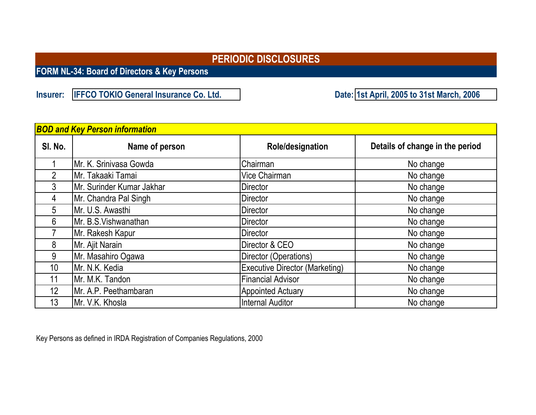**FORM NL-34: Board of Directors & Key Persons**

**Insurer: IFFCO TOKIO General Insurance Co. Ltd.** 

**1st April, 2005 to 31st March, 2006**

| <b>BOD and Key Person information</b> |                           |                                       |                                 |  |  |  |  |  |  |  |
|---------------------------------------|---------------------------|---------------------------------------|---------------------------------|--|--|--|--|--|--|--|
| SI. No.                               | Name of person            | Role/designation                      | Details of change in the period |  |  |  |  |  |  |  |
|                                       | Mr. K. Srinivasa Gowda    | Chairman                              | No change                       |  |  |  |  |  |  |  |
| $\overline{2}$                        | Mr. Takaaki Tamai         | Vice Chairman                         | No change                       |  |  |  |  |  |  |  |
| 3                                     | Mr. Surinder Kumar Jakhar | Director                              | No change                       |  |  |  |  |  |  |  |
| 4                                     | Mr. Chandra Pal Singh     | <b>Director</b>                       | No change                       |  |  |  |  |  |  |  |
| 5                                     | Mr. U.S. Awasthi          | <b>Director</b>                       | No change                       |  |  |  |  |  |  |  |
| 6                                     | Mr. B.S. Vishwanathan     | Director                              | No change                       |  |  |  |  |  |  |  |
|                                       | Mr. Rakesh Kapur          | <b>Director</b>                       | No change                       |  |  |  |  |  |  |  |
| 8                                     | Mr. Ajit Narain           | Director & CEO                        | No change                       |  |  |  |  |  |  |  |
| 9                                     | Mr. Masahiro Ogawa        | Director (Operations)                 | No change                       |  |  |  |  |  |  |  |
| 10 <sup>°</sup>                       | Mr. N.K. Kedia            | <b>Executive Director (Marketing)</b> | No change                       |  |  |  |  |  |  |  |
| 11                                    | Mr. M.K. Tandon           | <b>Financial Advisor</b>              | No change                       |  |  |  |  |  |  |  |
| 12                                    | Mr. A.P. Peethambaran     | <b>Appointed Actuary</b>              | No change                       |  |  |  |  |  |  |  |
| 13                                    | Mr. V.K. Khosla           | <b>Internal Auditor</b>               | No change                       |  |  |  |  |  |  |  |

Key Persons as defined in IRDA Registration of Companies Regulations, 2000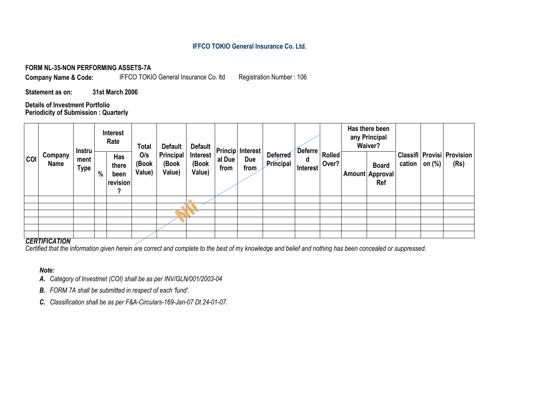## **IFFCO TOKIO General Insurance Co. Ltd.**

#### **FORM NL-35-NON PERFORMING ASSETS-7A**

**Company Name & Code:** IFFCO TOKIO General Insurance Co. ltd Registration Number : 106

**Statement as on: 31st March 2006**

**Details of Investment Portfolio Periodicity of Submission : Quarterly**

|            |                 | Interest<br>Rate<br>Total<br>Default<br><b>Default</b><br>ADeferre   Rolled  <br><b>Instru</b> |      |                                       | <b>Princip Interest</b> |                              |                             |                |             |                              |               |       |                                               |                  |                                          | Has there been<br>any Principal<br>Waiver? |  |  |
|------------|-----------------|------------------------------------------------------------------------------------------------|------|---------------------------------------|-------------------------|------------------------------|-----------------------------|----------------|-------------|------------------------------|---------------|-------|-----------------------------------------------|------------------|------------------------------------------|--------------------------------------------|--|--|
| <b>COI</b> | Company<br>Name | ment<br><b>Type</b>                                                                            | $\%$ | Has<br>there<br>been<br>revision<br>າ | O/s<br>(Book<br>Value)  | Principal<br>(Book<br>Value) | Interest<br>(Book<br>Value) | al Due<br>from | Due<br>from | <b>Deferred</b><br>Principal | d<br>Interest | Over? | <b>Board</b><br><b>Amount Approval</b><br>Ref | cation on $(\%)$ | Classifi   Provisi   Provision  <br>(Rs) |                                            |  |  |
|            |                 |                                                                                                |      |                                       |                         |                              |                             |                |             |                              |               |       |                                               |                  |                                          |                                            |  |  |
|            |                 |                                                                                                |      |                                       |                         |                              |                             |                |             |                              |               |       |                                               |                  |                                          |                                            |  |  |
|            |                 |                                                                                                |      |                                       |                         |                              |                             |                |             |                              |               |       |                                               |                  |                                          |                                            |  |  |
|            |                 |                                                                                                |      |                                       |                         |                              |                             |                |             |                              |               |       |                                               |                  |                                          |                                            |  |  |
|            |                 |                                                                                                |      |                                       |                         |                              |                             |                |             |                              |               |       |                                               |                  |                                          |                                            |  |  |
|            |                 |                                                                                                |      |                                       |                         |                              |                             |                |             |                              |               |       |                                               |                  |                                          |                                            |  |  |

#### *CERTIFICATION*

*Certified that the information given herein are correct and complete to the best of my knowledge and belief and nothing has been concealed or suppressed.*

### *Note:*

- *A. Category of Investmet (COI) shall be as per INV/GLN/001/2003-04*
- *B. FORM 7A shall be submitted in respect of each 'fund'.*
- *C. Classification shall be as per F&A-Circulars-169-Jan-07 Dt.24-01-07.*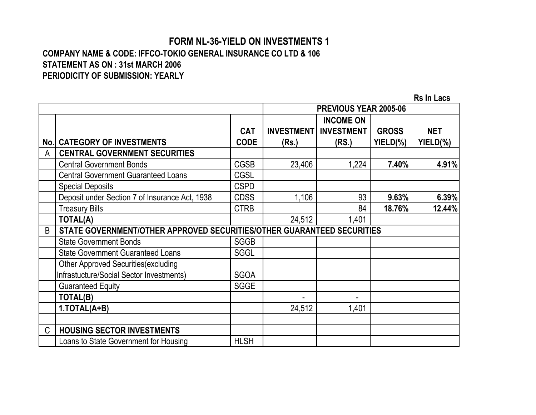## **COMPANY NAME & CODE: IFFCO-TOKIO GENERAL INSURANCE CO LTD & 106 STATEMENT AS ON : 31st MARCH 2006 PERIODICITY OF SUBMISSION: YEARLY FORM NL-36-YIELD ON INVESTMENTS 1**

|               |                                                                        |             |                   | PREVIOUS YEAR 2005-06 |              |            |
|---------------|------------------------------------------------------------------------|-------------|-------------------|-----------------------|--------------|------------|
|               |                                                                        |             |                   | <b>INCOME ON</b>      |              |            |
|               |                                                                        | <b>CAT</b>  | <b>INVESTMENT</b> | <b>INVESTMENT</b>     | <b>GROSS</b> | <b>NET</b> |
| No.l          | <b>CATEGORY OF INVESTMENTS</b>                                         | <b>CODE</b> | (Rs.)             | (RS.)                 | YIELD(%)     | YIELD(%)   |
| A             | <b>CENTRAL GOVERNMENT SECURITIES</b>                                   |             |                   |                       |              |            |
|               | <b>Central Government Bonds</b>                                        | <b>CGSB</b> | 23,406            | 1,224                 | 7.40%        | 4.91%      |
|               | <b>Central Government Guaranteed Loans</b>                             | <b>CGSL</b> |                   |                       |              |            |
|               | <b>Special Deposits</b>                                                | <b>CSPD</b> |                   |                       |              |            |
|               | Deposit under Section 7 of Insurance Act, 1938                         | <b>CDSS</b> | 1,106             | 93                    | 9.63%        | 6.39%      |
|               | <b>Treasury Bills</b>                                                  | <b>CTRB</b> |                   | 84                    | 18.76%       | 12.44%     |
|               | <b>TOTAL(A)</b>                                                        |             | 24,512            | 1,401                 |              |            |
| B             | STATE GOVERNMENT/OTHER APPROVED SECURITIES/OTHER GUARANTEED SECURITIES |             |                   |                       |              |            |
|               | <b>State Government Bonds</b>                                          | <b>SGGB</b> |                   |                       |              |            |
|               | <b>State Government Guaranteed Loans</b>                               | <b>SGGL</b> |                   |                       |              |            |
|               | <b>Other Approved Securities (excluding</b>                            |             |                   |                       |              |            |
|               | Infrastucture/Social Sector Investments)                               | <b>SGOA</b> |                   |                       |              |            |
|               | <b>Guaranteed Equity</b>                                               | <b>SGGE</b> |                   |                       |              |            |
|               | TOTAL(B)                                                               |             |                   |                       |              |            |
|               | 1.TOTAL(A+B)                                                           |             | 24,512            | 1,401                 |              |            |
|               |                                                                        |             |                   |                       |              |            |
| $\mathcal{C}$ | <b>HOUSING SECTOR INVESTMENTS</b>                                      |             |                   |                       |              |            |
|               | Loans to State Government for Housing                                  | <b>HLSH</b> |                   |                       |              |            |

**Rs In Lacs**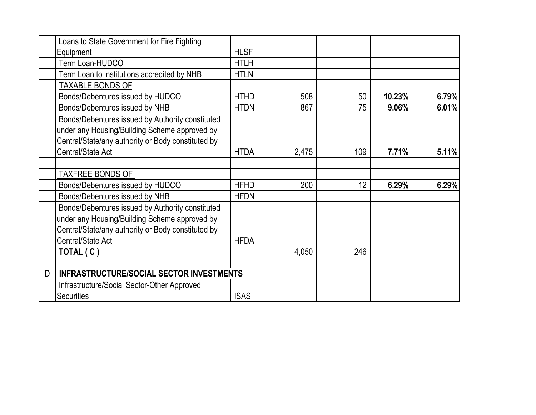| Loans to State Government for Fire Fighting                                                                                                                                         |             |       |     |        |       |
|-------------------------------------------------------------------------------------------------------------------------------------------------------------------------------------|-------------|-------|-----|--------|-------|
| Equipment                                                                                                                                                                           | <b>HLSF</b> |       |     |        |       |
| Term Loan-HUDCO                                                                                                                                                                     | <b>HTLH</b> |       |     |        |       |
| Term Loan to institutions accredited by NHB                                                                                                                                         | <b>HTLN</b> |       |     |        |       |
| <b>TAXABLE BONDS OF</b>                                                                                                                                                             |             |       |     |        |       |
| Bonds/Debentures issued by HUDCO                                                                                                                                                    | <b>HTHD</b> | 508   | 50  | 10.23% | 6.79% |
| Bonds/Debentures issued by NHB                                                                                                                                                      | <b>HTDN</b> | 867   | 75  | 9.06%  | 6.01% |
| Bonds/Debentures issued by Authority constituted<br>under any Housing/Building Scheme approved by<br>Central/State/any authority or Body constituted by<br><b>Central/State Act</b> | <b>HTDA</b> | 2,475 | 109 | 7.71%  | 5.11% |
| <b>TAXFREE BONDS OF</b>                                                                                                                                                             |             |       |     |        |       |
| Bonds/Debentures issued by HUDCO                                                                                                                                                    | <b>HFHD</b> | 200   | 12  | 6.29%  | 6.29% |
| Bonds/Debentures issued by NHB                                                                                                                                                      | <b>HFDN</b> |       |     |        |       |
| Bonds/Debentures issued by Authority constituted<br>under any Housing/Building Scheme approved by<br>Central/State/any authority or Body constituted by<br>Central/State Act        | <b>HFDA</b> |       |     |        |       |
| TOTAL (C)                                                                                                                                                                           |             | 4,050 | 246 |        |       |
|                                                                                                                                                                                     |             |       |     |        |       |
| <b>INFRASTRUCTURE/SOCIAL SECTOR INVESTMENTS</b><br>D                                                                                                                                |             |       |     |        |       |
| Infrastructure/Social Sector-Other Approved<br><b>Securities</b>                                                                                                                    | <b>ISAS</b> |       |     |        |       |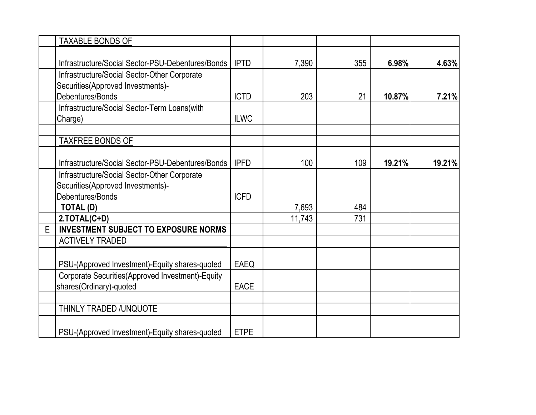|   | <b>TAXABLE BONDS OF</b>                           |             |        |     |        |        |
|---|---------------------------------------------------|-------------|--------|-----|--------|--------|
|   |                                                   |             |        |     |        |        |
|   | Infrastructure/Social Sector-PSU-Debentures/Bonds | <b>IPTD</b> | 7,390  | 355 | 6.98%  | 4.63%  |
|   | Infrastructure/Social Sector-Other Corporate      |             |        |     |        |        |
|   | Securities(Approved Investments)-                 |             |        |     |        |        |
|   | Debentures/Bonds                                  | <b>ICTD</b> | 203    | 21  | 10.87% | 7.21%  |
|   | Infrastructure/Social Sector-Term Loans(with      |             |        |     |        |        |
|   | Charge)                                           | <b>ILWC</b> |        |     |        |        |
|   |                                                   |             |        |     |        |        |
|   | <b>TAXFREE BONDS OF</b>                           |             |        |     |        |        |
|   |                                                   |             |        |     |        |        |
|   | Infrastructure/Social Sector-PSU-Debentures/Bonds | <b>IPFD</b> | 100    | 109 | 19.21% | 19.21% |
|   | Infrastructure/Social Sector-Other Corporate      |             |        |     |        |        |
|   | Securities(Approved Investments)-                 |             |        |     |        |        |
|   | Debentures/Bonds                                  | <b>ICFD</b> |        |     |        |        |
|   | TOTAL (D)                                         |             | 7,693  | 484 |        |        |
|   | 2.TOTAL(C+D)                                      |             | 11,743 | 731 |        |        |
| E | <b>INVESTMENT SUBJECT TO EXPOSURE NORMS</b>       |             |        |     |        |        |
|   | <b>ACTIVELY TRADED</b>                            |             |        |     |        |        |
|   |                                                   |             |        |     |        |        |
|   | PSU-(Approved Investment)-Equity shares-quoted    | <b>EAEQ</b> |        |     |        |        |
|   | Corporate Securities(Approved Investment)-Equity  |             |        |     |        |        |
|   | shares(Ordinary)-quoted                           | <b>EACE</b> |        |     |        |        |
|   | THINLY TRADED /UNQUOTE                            |             |        |     |        |        |
|   |                                                   |             |        |     |        |        |
|   | PSU-(Approved Investment)-Equity shares-quoted    | <b>ETPE</b> |        |     |        |        |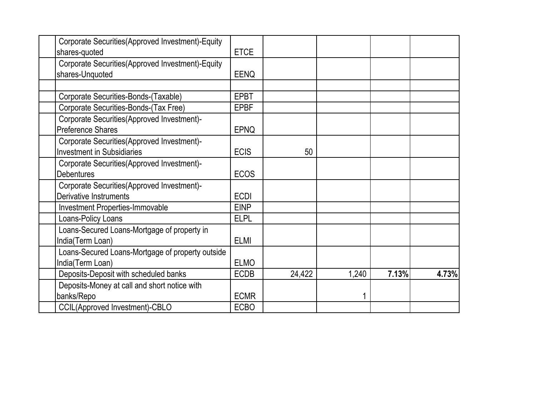| Corporate Securities(Approved Investment)-Equity |             |        |       |       |       |
|--------------------------------------------------|-------------|--------|-------|-------|-------|
| shares-quoted                                    | <b>ETCE</b> |        |       |       |       |
| Corporate Securities(Approved Investment)-Equity |             |        |       |       |       |
| shares-Unquoted                                  | <b>EENQ</b> |        |       |       |       |
|                                                  |             |        |       |       |       |
| Corporate Securities-Bonds-(Taxable)             | <b>EPBT</b> |        |       |       |       |
| Corporate Securities-Bonds-(Tax Free)            | <b>EPBF</b> |        |       |       |       |
| Corporate Securities (Approved Investment)-      |             |        |       |       |       |
| <b>Preference Shares</b>                         | <b>EPNQ</b> |        |       |       |       |
| Corporate Securities (Approved Investment)-      |             |        |       |       |       |
| <b>Investment in Subsidiaries</b>                | <b>ECIS</b> | 50     |       |       |       |
| Corporate Securities (Approved Investment)-      |             |        |       |       |       |
| <b>Debentures</b>                                | <b>ECOS</b> |        |       |       |       |
| Corporate Securities (Approved Investment)-      |             |        |       |       |       |
| Derivative Instruments                           | <b>ECDI</b> |        |       |       |       |
| <b>Investment Properties-Immovable</b>           | <b>EINP</b> |        |       |       |       |
| Loans-Policy Loans                               | <b>ELPL</b> |        |       |       |       |
| Loans-Secured Loans-Mortgage of property in      |             |        |       |       |       |
| India(Term Loan)                                 | <b>ELMI</b> |        |       |       |       |
| Loans-Secured Loans-Mortgage of property outside |             |        |       |       |       |
| India(Term Loan)                                 | <b>ELMO</b> |        |       |       |       |
| Deposits-Deposit with scheduled banks            | <b>ECDB</b> | 24,422 | 1,240 | 7.13% | 4.73% |
| Deposits-Money at call and short notice with     |             |        |       |       |       |
| banks/Repo                                       | <b>ECMR</b> |        |       |       |       |
| <b>CCIL(Approved Investment)-CBLO</b>            | <b>ECBO</b> |        |       |       |       |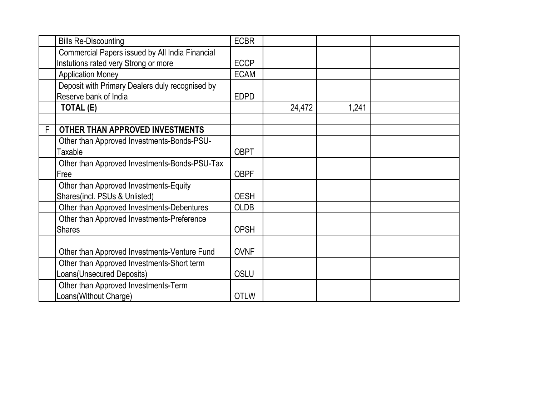|   | <b>Bills Re-Discounting</b>                     | <b>ECBR</b> |        |       |  |
|---|-------------------------------------------------|-------------|--------|-------|--|
|   | Commercial Papers issued by All India Financial |             |        |       |  |
|   | Instutions rated very Strong or more            | <b>ECCP</b> |        |       |  |
|   | <b>Application Money</b>                        | <b>ECAM</b> |        |       |  |
|   | Deposit with Primary Dealers duly recognised by |             |        |       |  |
|   | Reserve bank of India                           | <b>EDPD</b> |        |       |  |
|   | TOTAL (E)                                       |             | 24,472 | 1,241 |  |
|   |                                                 |             |        |       |  |
| F | OTHER THAN APPROVED INVESTMENTS                 |             |        |       |  |
|   | Other than Approved Investments-Bonds-PSU-      |             |        |       |  |
|   | Taxable                                         | <b>OBPT</b> |        |       |  |
|   | Other than Approved Investments-Bonds-PSU-Tax   |             |        |       |  |
|   | Free                                            | <b>OBPF</b> |        |       |  |
|   | Other than Approved Investments-Equity          |             |        |       |  |
|   | Shares(incl. PSUs & Unlisted)                   | <b>OESH</b> |        |       |  |
|   | Other than Approved Investments-Debentures      | <b>OLDB</b> |        |       |  |
|   | Other than Approved Investments-Preference      |             |        |       |  |
|   | <b>Shares</b>                                   | <b>OPSH</b> |        |       |  |
|   |                                                 |             |        |       |  |
|   | Other than Approved Investments-Venture Fund    | <b>OVNF</b> |        |       |  |
|   | Other than Approved Investments-Short term      |             |        |       |  |
|   | Loans(Unsecured Deposits)                       | <b>OSLU</b> |        |       |  |
|   | Other than Approved Investments-Term            |             |        |       |  |
|   | Loans(Without Charge)                           | <b>OTLW</b> |        |       |  |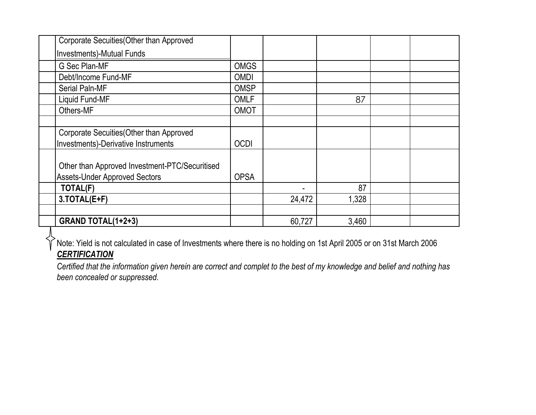| Corporate Secuities (Other than Approved                                               |             |        |       |  |
|----------------------------------------------------------------------------------------|-------------|--------|-------|--|
| Investments)-Mutual Funds                                                              |             |        |       |  |
| G Sec Plan-MF                                                                          | <b>OMGS</b> |        |       |  |
| Debt/Income Fund-MF                                                                    | <b>OMDI</b> |        |       |  |
| <b>Serial Paln-MF</b>                                                                  | <b>OMSP</b> |        |       |  |
| Liquid Fund-MF                                                                         | <b>OMLF</b> |        | 87    |  |
| Others-MF                                                                              | OMOT        |        |       |  |
|                                                                                        |             |        |       |  |
| Corporate Secuities (Other than Approved                                               |             |        |       |  |
| Investments)-Derivative Instruments                                                    | <b>OCDI</b> |        |       |  |
| Other than Approved Investment-PTC/Securitised<br><b>Assets-Under Approved Sectors</b> | <b>OPSA</b> |        |       |  |
| TOTAL(F)                                                                               |             |        | 87    |  |
| 3.TOTAL(E+F)                                                                           |             | 24,472 | 1,328 |  |
|                                                                                        |             |        |       |  |
| <b>GRAND TOTAL(1+2+3)</b>                                                              |             | 60,727 | 3,460 |  |

 $\overline{P}$ Note: Yield is not calculated in case of Investments where there is no holding on 1st April 2005 or on 31st March 2006 *CERTIFICATION*

*Certified that the information given herein are correct and complet to the best of my knowledge and belief and nothing has been concealed or suppressed.*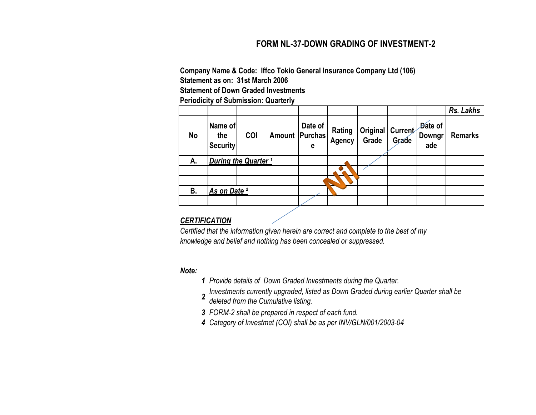## **FORM NL-37-DOWN GRADING OF INVESTMENT-2**

**Company Name & Code: Iffco Tokio General Insurance Company Ltd (106) Statement of Down Graded Investments Statement as on: 31st March 2006**

**Periodicity of Submission: Quarterly**

|           |                                   |     |                  |              |                  |       |                           |                          | Rs. Lakhs      |
|-----------|-----------------------------------|-----|------------------|--------------|------------------|-------|---------------------------|--------------------------|----------------|
| <b>No</b> | Name of<br>the<br><b>Security</b> | COI | Amount   Purchas | Date of<br>е | Rating<br>Agency | Grade | Original Current<br>Grade | Date of<br>Downgr<br>ade | <b>Remarks</b> |
| А.        | During the Quarter <sup>1</sup>   |     |                  |              |                  |       |                           |                          |                |
|           |                                   |     |                  |              |                  |       |                           |                          |                |
|           |                                   |     |                  |              |                  |       |                           |                          |                |
| <b>B.</b> | As on Date <sup>2</sup>           |     |                  |              |                  |       |                           |                          |                |
|           |                                   |     |                  |              |                  |       |                           |                          |                |

## *CERTIFICATION*

*Certified that the information given herein are correct and complete to the best of my knowledge and belief and nothing has been concealed or suppressed.*

## *Note:*

- *1 Provide details of Down Graded Investments during the Quarter.*
- 2 Investments currently upgraded, listed as Down Graded during earlier Quarter shall be
- *deleted from the Cumulative listing.*
- *3 FORM-2 shall be prepared in respect of each fund.*
- *4 Category of Investmet (COI) shall be as per INV/GLN/001/2003-04*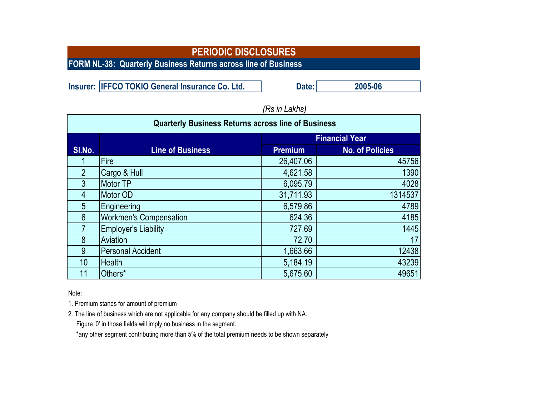**FORM NL-38: Quarterly Business Returns across line of Business**

**Insurer: IFFCO TOKIO General Insurance Co. Ltd. Date: Date: 2005-06** 

|                 | <b>Quarterly Business Returns across line of Business</b> |                       |                        |  |  |  |  |  |
|-----------------|-----------------------------------------------------------|-----------------------|------------------------|--|--|--|--|--|
|                 |                                                           | <b>Financial Year</b> |                        |  |  |  |  |  |
| SI.No.          | <b>Line of Business</b>                                   | <b>Premium</b>        | <b>No. of Policies</b> |  |  |  |  |  |
|                 | Fire                                                      | 26,407.06             | 45756                  |  |  |  |  |  |
| $\overline{2}$  | Cargo & Hull                                              | 4,621.58              | 1390                   |  |  |  |  |  |
| $\mathfrak{Z}$  | <b>Motor TP</b>                                           | 6,095.79              | 4028                   |  |  |  |  |  |
| 4               | Motor OD                                                  | 31,711.93             | 1314537                |  |  |  |  |  |
| $5\overline{)}$ | Engineering                                               | 6,579.86              | 4789                   |  |  |  |  |  |
| $6\phantom{1}6$ | <b>Workmen's Compensation</b>                             | 624.36                | 4185                   |  |  |  |  |  |
| 7               | <b>Employer's Liability</b>                               | 727.69                | 1445                   |  |  |  |  |  |
| 8               | Aviation                                                  | 72.70                 | 17                     |  |  |  |  |  |
| 9               | <b>Personal Accident</b>                                  | 1,663.66              | 12438                  |  |  |  |  |  |
| 10 <sup>1</sup> | <b>Health</b>                                             | 5,184.19              | 43239                  |  |  |  |  |  |
| 11              | Others*                                                   | 5,675.60              | 49651                  |  |  |  |  |  |

*(Rs in Lakhs)*

Note:

1. Premium stands for amount of premium

2. The line of business which are not applicable for any company should be filled up with NA.

Figure '0' in those fields will imply no business in the segment.

\*any other segment contributing more than 5% of the total premium needs to be shown separately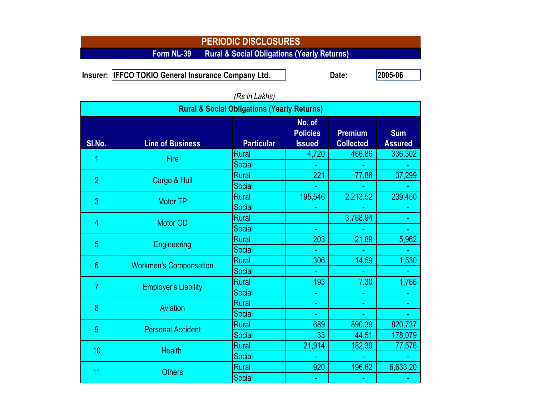**Form NL-39 Rural & Social Obligations (Yearly Returns)**

**Insurer: Date: 2005-06 IFFCO TOKIO General Insurance Company Ltd.** 

|                | <b>Rural &amp; Social Obligations (Yearly Returns)</b> |                   |                                            |                                    |                              |  |  |  |  |  |  |
|----------------|--------------------------------------------------------|-------------------|--------------------------------------------|------------------------------------|------------------------------|--|--|--|--|--|--|
| SI.No.         | <b>Line of Business</b>                                | <b>Particular</b> | No. of<br><b>Policies</b><br><b>Issued</b> | <b>Premium</b><br><b>Collected</b> | <b>Sum</b><br><b>Assured</b> |  |  |  |  |  |  |
|                | Fire                                                   | <b>Rural</b>      | 4,720                                      | 466.86                             | 336,302                      |  |  |  |  |  |  |
|                |                                                        | Social            |                                            |                                    |                              |  |  |  |  |  |  |
| $\overline{2}$ | Cargo & Hull                                           | <b>Rural</b>      | 221                                        | 77.86                              | 37,299                       |  |  |  |  |  |  |
|                |                                                        | Social            |                                            |                                    |                              |  |  |  |  |  |  |
| 3              | <b>Motor TP</b>                                        | <b>Rural</b>      | 195,546                                    | 2,213.52                           | 239,450                      |  |  |  |  |  |  |
|                |                                                        | <b>Social</b>     |                                            |                                    |                              |  |  |  |  |  |  |
| 4              | <b>Motor OD</b>                                        | <b>Rural</b>      |                                            | 3,768.94                           |                              |  |  |  |  |  |  |
|                |                                                        | Social            |                                            |                                    |                              |  |  |  |  |  |  |
| 5              | <b>Engineering</b>                                     | <b>Rural</b>      | 203                                        | 21.89                              | 5,962                        |  |  |  |  |  |  |
|                |                                                        | Social            |                                            |                                    |                              |  |  |  |  |  |  |
| $6\phantom{1}$ | <b>Workmen's Compensation</b>                          | <b>Rural</b>      | 306                                        | 14.59                              | 1,530                        |  |  |  |  |  |  |
|                |                                                        | Social            |                                            |                                    |                              |  |  |  |  |  |  |
| 7              | <b>Employer's Liability</b>                            | <b>Rural</b>      | 193                                        | 7.30                               | 1,766                        |  |  |  |  |  |  |
|                |                                                        | Social            |                                            |                                    |                              |  |  |  |  |  |  |
| 8              | Aviation                                               | Rural             |                                            |                                    |                              |  |  |  |  |  |  |
|                |                                                        | Social            | ÷.                                         |                                    |                              |  |  |  |  |  |  |
| 9              | <b>Personal Accident</b>                               | <b>Rural</b>      | 689                                        | 890.39                             | 820,737                      |  |  |  |  |  |  |
|                |                                                        | Social            | 33                                         | 44.51                              | 178,079                      |  |  |  |  |  |  |
| 10             | <b>Health</b>                                          | <b>Rural</b>      | 21,914                                     | 182.39                             | 77,576                       |  |  |  |  |  |  |
|                |                                                        | Social            |                                            |                                    |                              |  |  |  |  |  |  |
| 11             | <b>Others</b>                                          | <b>Rural</b>      | 920                                        | 196.62                             | 6,633.20                     |  |  |  |  |  |  |
|                |                                                        | Social            |                                            |                                    |                              |  |  |  |  |  |  |

# *(Rs in Lakhs)*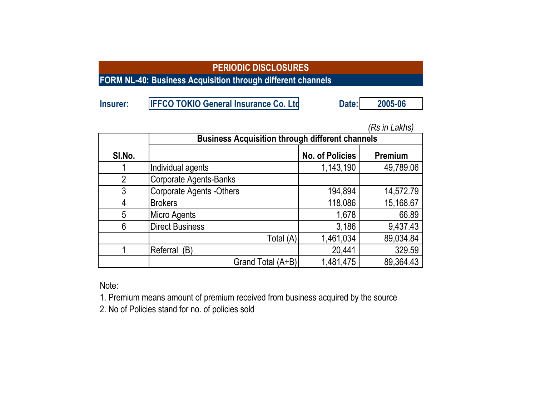**FORM NL-40: Business Acquisition through different channels**

| Insurer: | <b>IFFCO TOKIO General Insurance Co. Ltd</b> | Date: | 2005-06 |
|----------|----------------------------------------------|-------|---------|
|          |                                              |       |         |

|                |                                                        |                        | (Rs in Lakhs) |  |  |
|----------------|--------------------------------------------------------|------------------------|---------------|--|--|
|                | <b>Business Acquisition through different channels</b> |                        |               |  |  |
| SI.No.         |                                                        | <b>No. of Policies</b> | Premium       |  |  |
|                | Individual agents                                      | 1,143,190              | 49,789.06     |  |  |
| $\overline{2}$ | <b>Corporate Agents-Banks</b>                          |                        |               |  |  |
| 3              | <b>Corporate Agents -Others</b>                        | 194,894                | 14,572.79     |  |  |
| 4              | <b>Brokers</b>                                         | 118,086                | 15,168.67     |  |  |
| 5              | Micro Agents                                           | 1,678                  | 66.89         |  |  |
| 6              | <b>Direct Business</b>                                 | 3,186                  | 9,437.43      |  |  |
|                | Total (A)                                              | 1,461,034              | 89,034.84     |  |  |
|                | Referral<br>(B)                                        | 20,441                 | 329.59        |  |  |
|                | Grand Total (A+B)                                      | 1,481,475              | 89,364.43     |  |  |

Note:

1. Premium means amount of premium received from business acquired by the source

2. No of Policies stand for no. of policies sold